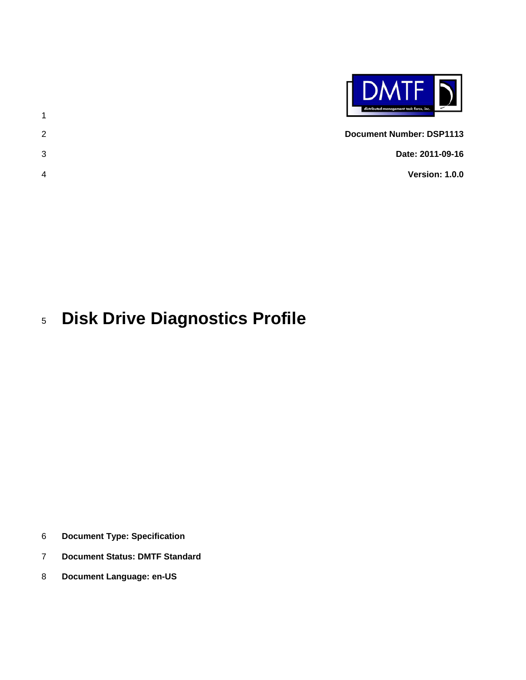

**Version: 1.0.0** 

- 2 3 **Document Number: DSP1113 Date: 2011-09-16**
- 4

### 5 **Disk Drive Diagnostics Profile**

6 **Document Type: Specification** 

<span id="page-0-0"></span>1

- 7 **Document Status: DMTF Standard**
- 8 **Document Language: en-US**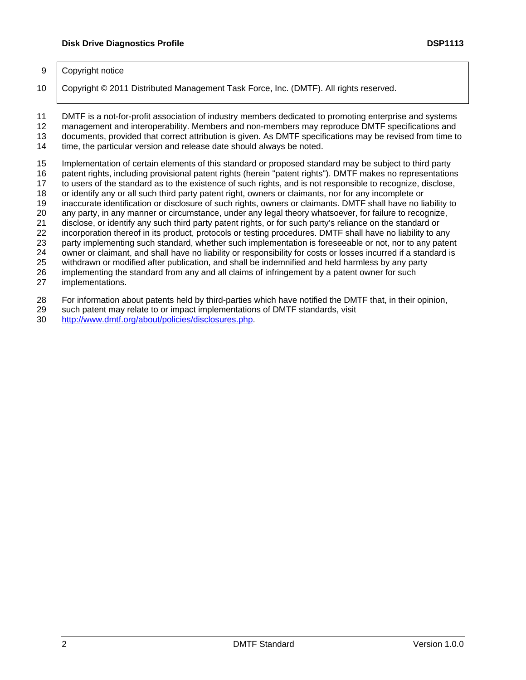### 9 Copyright notice

10 | Copyright © 2011 Distributed Management Task Force, Inc. (DMTF). All rights reserved.

11 12 DMTF is a not-for-profit association of industry members dedicated to promoting enterprise and systems management and interoperability. Members and non-members may reproduce DMTF specifications and

13 documents, provided that correct attribution is given. As DMTF specifications may be revised from time to

14 time, the particular version and release date should always be noted.

15 Implementation of certain elements of this standard or proposed standard may be subject to third party

16 patent rights, including provisional patent rights (herein "patent rights"). DMTF makes no representations

17 to users of the standard as to the existence of such rights, and is not responsible to recognize, disclose,

18 19 or identify any or all such third party patent right, owners or claimants, nor for any incomplete or inaccurate identification or disclosure of such rights, owners or claimants. DMTF shall have no liability to

20 any party, in any manner or circumstance, under any legal theory whatsoever, for failure to recognize,

21 disclose, or identify any such third party patent rights, or for such party's reliance on the standard or

22 incorporation thereof in its product, protocols or testing procedures. DMTF shall have no liability to any

23 party implementing such standard, whether such implementation is foreseeable or not, nor to any patent

24 owner or claimant, and shall have no liability or responsibility for costs or losses incurred if a standard is

25 withdrawn or modified after publication, and shall be indemnified and held harmless by any party

26 implementing the standard from any and all claims of infringement by a patent owner for such

27 implementations.

28 For information about patents held by third-parties which have notified the DMTF that, in their opinion,

- 29 such patent may relate to or impact implementations of DMTF standards, visit
- 30 <http://www.dmtf.org/about/policies/disclosures.php>.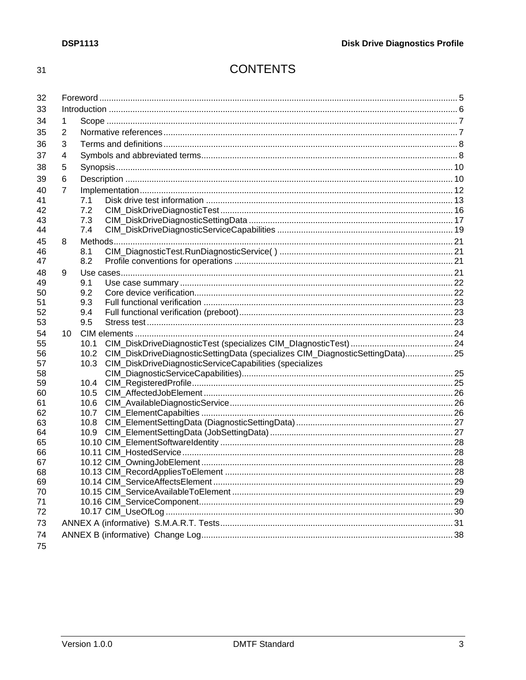$31$ 

## **CONTENTS**

| 32 |                |      |                                                                               |  |  |
|----|----------------|------|-------------------------------------------------------------------------------|--|--|
| 33 |                |      |                                                                               |  |  |
| 34 | 1              |      |                                                                               |  |  |
| 35 | 2              |      |                                                                               |  |  |
| 36 | 3              |      |                                                                               |  |  |
| 37 | 4              |      |                                                                               |  |  |
| 38 | 5              |      |                                                                               |  |  |
| 39 | 6              |      |                                                                               |  |  |
| 40 | $\overline{7}$ |      |                                                                               |  |  |
| 41 |                | 7.1  |                                                                               |  |  |
| 42 |                | 7.2  |                                                                               |  |  |
| 43 |                | 7.3  |                                                                               |  |  |
| 44 |                | 7.4  |                                                                               |  |  |
| 45 | 8              |      |                                                                               |  |  |
| 46 |                | 8.1  |                                                                               |  |  |
| 47 |                | 8.2  |                                                                               |  |  |
| 48 | 9              |      |                                                                               |  |  |
| 49 |                | 9.1  |                                                                               |  |  |
| 50 |                | 9.2  |                                                                               |  |  |
| 51 |                | 9.3  |                                                                               |  |  |
| 52 |                | 9.4  |                                                                               |  |  |
| 53 |                | 9.5  |                                                                               |  |  |
| 54 | 10             |      |                                                                               |  |  |
| 55 |                | 10.1 |                                                                               |  |  |
| 56 |                | 10.2 | CIM_DiskDriveDiagnosticSettingData (specializes CIM_DiagnosticSettingData) 25 |  |  |
| 57 |                | 10.3 | CIM_DiskDriveDiagnosticServiceCapabilities (specializes                       |  |  |
| 58 |                |      |                                                                               |  |  |
| 59 |                | 10.4 |                                                                               |  |  |
| 60 |                | 10.5 |                                                                               |  |  |
| 61 |                | 10.6 |                                                                               |  |  |
| 62 |                | 10.7 |                                                                               |  |  |
| 63 |                | 10.8 |                                                                               |  |  |
| 64 |                | 10.9 |                                                                               |  |  |
| 65 |                |      |                                                                               |  |  |
| 66 |                |      |                                                                               |  |  |
| 67 |                |      |                                                                               |  |  |
| 68 |                |      |                                                                               |  |  |
| 69 |                |      |                                                                               |  |  |
| 70 |                |      |                                                                               |  |  |
| 71 |                |      |                                                                               |  |  |
| 72 |                |      |                                                                               |  |  |
| 73 |                |      |                                                                               |  |  |
| 74 |                |      |                                                                               |  |  |
| 75 |                |      |                                                                               |  |  |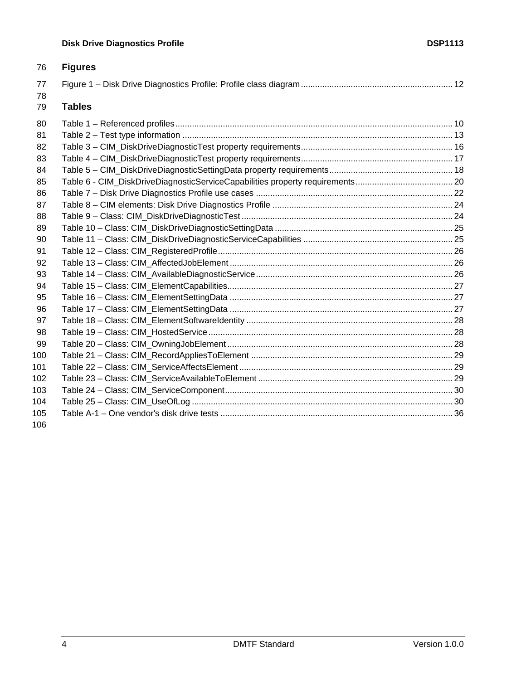| 76       | <b>Figures</b> |  |
|----------|----------------|--|
| 77<br>78 |                |  |
| 79       | <b>Tables</b>  |  |
| 80       |                |  |
| 81       |                |  |
| 82       |                |  |
| 83       |                |  |
| 84       |                |  |
| 85       |                |  |
| 86       |                |  |
| 87       |                |  |
| 88       |                |  |
| 89       |                |  |
| 90       |                |  |
| 91       |                |  |
| 92       |                |  |
| 93       |                |  |
| 94       |                |  |
| 95       |                |  |
| 96       |                |  |
| 97       |                |  |
| 98       |                |  |
| 99       |                |  |
| 100      |                |  |
| 101      |                |  |
| 102      |                |  |
| 103      |                |  |
| 104      |                |  |
| 105      |                |  |
| 106      |                |  |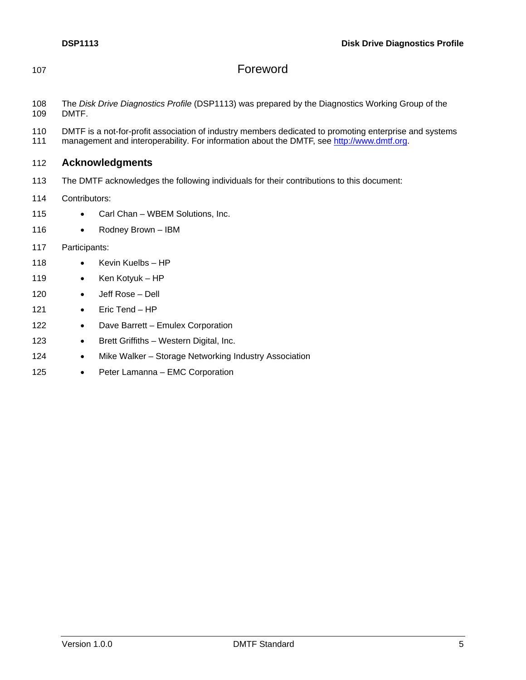## <span id="page-4-0"></span>107 and 107 and 107 and 107 and 107 and 107 and 107 and 108 and 108 and 108 and 108 and 108 and 108 and 108 and 108 and 108 and 108 and 108 and 108 and 108 and 108 and 108 and 108 and 108 and 108 and 108 and 108 and 108 an

- 108 109 The *Disk Drive Diagnostics Profile* (DSP1113) was prepared by the Diagnostics Working Group of the DMTF.
- DMTF is a not-for-profit association of industry members dedicated to promoting enterprise and systems
- 110<br>111 management and interoperability. For information about the DMTF, see [http://www.dmtf.org](http://www.dmtf.org/).

#### 112 **Acknowledgments**

- 113 The DMTF acknowledges the following individuals for their contributions to this document:
- 114 Contributors:
- 115 • Carl Chan – WBEM Solutions, Inc.
- 116 • Rodney Brown – IBM

#### 117 Participants:

- 118 • Kevin Kuelbs – HP
- 119 • Ken Kotyuk – HP
- 120 • Jeff Rose – Dell
- 121 • Eric Tend – HP
- 122 • Dave Barrett – Emulex Corporation
- 123 • Brett Griffiths – Western Digital, Inc.
- 124 • Mike Walker – Storage Networking Industry Association
- 125 • Peter Lamanna – EMC Corporation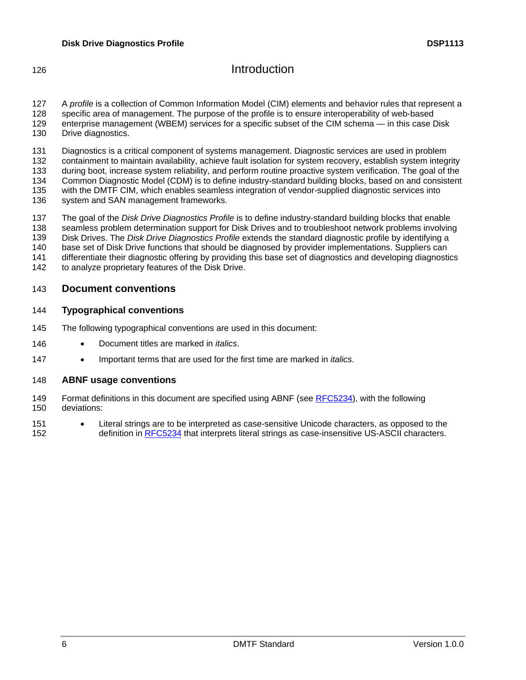## <span id="page-5-0"></span>126 Introduction

127 128 129 A *profile* is a collection of Common Information Model (CIM) elements and behavior rules that represent a specific area of management. The purpose of the profile is to ensure interoperability of web-based enterprise management (WBEM) services for a specific subset of the CIM schema — in this case Disk

130 Drive diagnostics.

131 132 133 134 135 136 Diagnostics is a critical component of systems management. Diagnostic services are used in problem containment to maintain availability, achieve fault isolation for system recovery, establish system integrity during boot, increase system reliability, and perform routine proactive system verification. The goal of the Common Diagnostic Model (CDM) is to define industry-standard building blocks, based on and consistent with the DMTF CIM, which enables seamless integration of vendor-supplied diagnostic services into system and SAN management frameworks.

- 137 138 139 140 141 The goal of the *Disk Drive Diagnostics Profile* is to define industry-standard building blocks that enable seamless problem determination support for Disk Drives and to troubleshoot network problems involving Disk Drives. The *Disk Drive Diagnostics Profile* extends the standard diagnostic profile by identifying a base set of Disk Drive functions that should be diagnosed by provider implementations. Suppliers can differentiate their diagnostic offering by providing this base set of diagnostics and developing diagnostics
- 142 to analyze proprietary features of the Disk Drive.

#### 143 **Document conventions**

#### 144 **Typographical conventions**

- 145 The following typographical conventions are used in this document:
- 146 • Document titles are marked in *italics*.
- 147 • Important terms that are used for the first time are marked in *italics*.

#### 148 **ABNF usage conventions**

- Format definitions in this document are specified using ABNF (see [RFC5234\)](#page-0-0), with the following deviations: 149 150
- 151 Literal strings are to be interpreted as case-sensitive Unicode characters, as opposed to the 152 definition in [RFC5234](#page-0-0) that interprets literal strings as case-insensitive US-ASCII characters.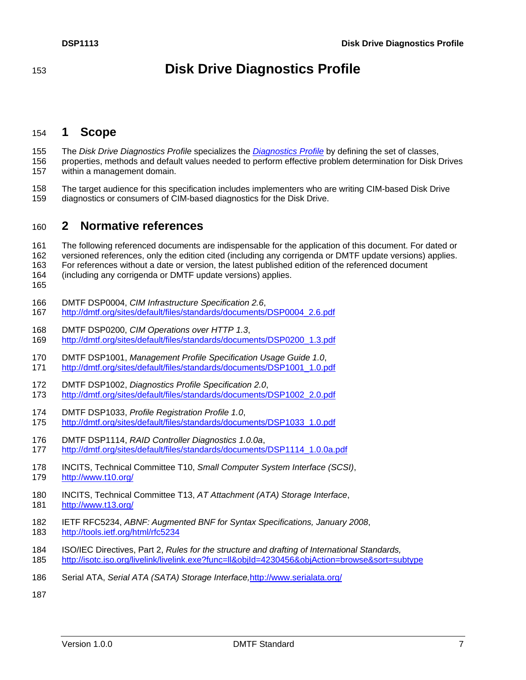<span id="page-6-0"></span><sup>153</sup>**Disk Drive Diagnostics Profile** 

### 154 **1 Scope**

- The *Disk Drive Diagnostics Profile* specializes the *[Diagnostics Profile](#page-6-0)* by defining the set of classes, 155
- properties, methods and default values needed to perform effective problem determination for Disk Drives within a management domain. 156 157
- 158 159 The target audience for this specification includes implementers who are writing CIM-based Disk Drive diagnostics or consumers of CIM-based diagnostics for the Disk Drive.

#### 160 **2 Normative references**

- 161 The following referenced documents are indispensable for the application of this document. For dated or
- 162 versioned references, only the edition cited (including any corrigenda or DMTF update versions) applies.
- 163 For references without a date or version, the latest published edition of the referenced document
- 164 (including any corrigenda or DMTF update versions) applies.
- 165
- 166 DMTF DSP0004, *CIM Infrastructure Specification 2.6*,
- 167 [http://dmtf.org/sites/default/files/standards/documents/DSP0004\\_2.6.pdf](http://dmtf.org/sites/default/files/standards/documents/DSP0004_2.6.pdf)
- 168 DMTF DSP0200, *CIM Operations over HTTP 1.3*,
- 169 [http://dmtf.org/sites/default/files/standards/documents/DSP0200\\_1.3.pdf](http://dmtf.org/sites/default/files/standards/documents/DSP0200_1.3.pdf)
- 170 DMTF DSP1001, *Management Profile Specification Usage Guide 1.0*, 171 [http://dmtf.org/sites/default/files/standards/documents/DSP1001\\_1.0.pdf](http://dmtf.org/sites/default/files/standards/documents/DSP1001_1.0.pdf)
- 172 DMTF DSP1002, *Diagnostics Profile Specification 2.0*,
- 173 [http://dmtf.org/sites/default/files/standards/documents/DSP1002\\_2.0.pdf](http://dmtf.org/sites/default/files/standards/documents/DSP1002_2.0.pdf)
- 174 DMTF DSP1033, *Profile Registration Profile 1.0*, 175 [http://dmtf.org/sites/default/files/standards/documents/DSP1033\\_1.0.pdf](http://dmtf.org/sites/default/files/standards/documents/DSP1033_1.0.pdf)
- 176 DMTF DSP1114, *RAID Controller Diagnostics 1.0.0a*, 177 [http://dmtf.org/sites/default/files/standards/documents/DSP1114\\_1.0.0a.pdf](http://dmtf.org/sites/default/files/standards/documents/DSP1114_1.0.0a.pdf)
- 178 INCITS, Technical Committee T10, *Small Computer System Interface (SCSI)*, 179 <http://www.t10.org/>
- 180 INCITS, Technical Committee T13, *AT Attachment (ATA) Storage Interface*, 181 <http://www.t13.org/>
- 182 IETF RFC5234, *ABNF: Augmented BNF for Syntax Specifications, January 2008*, 183 <http://tools.ietf.org/html/rfc5234>
- 184 ISO/IEC Directives, Part 2, *Rules for the structure and drafting of International Standards,* 185 <http://isotc.iso.org/livelink/livelink.exe?func=ll&objId=4230456&objAction=browse&sort=subtype>
- 186 Serial ATA, *Serial ATA (SATA) Storage Interface,*<http://www.serialata.org/>

187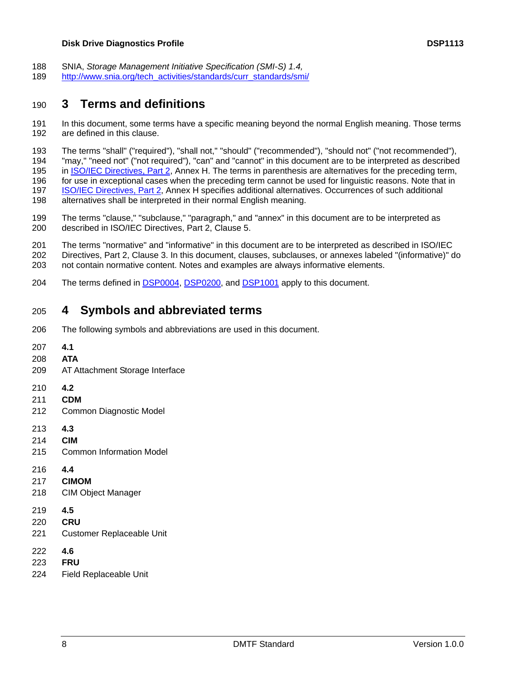- <span id="page-7-0"></span>188 SNIA, *Storage Management Initiative Specification (SMI-S) 1.4,*
- 189 [http://www.snia.org/tech\\_activities/standards/curr\\_standards/smi/](http://www.snia.org/tech_activities/standards/curr_standards/smi/)

#### 190 **3 Terms and definitions**

191 192 In this document, some terms have a specific meaning beyond the normal English meaning. Those terms are defined in this clause.

193 194 The terms "shall" ("required"), "shall not," "should" ("recommended"), "should not" ("not recommended"), "may," "need not" ("not required"), "can" and "cannot" in this document are to be interpreted as described in [ISO/IEC Directives, Part 2](#page-0-0), Annex H. The terms in parenthesis are alternatives for the preceding term, for use in exceptional cases when the preceding term cannot be used for linguistic reasons. Note that in 195 196 [ISO/IEC Directives, Part 2,](#page-0-0) Annex H specifies additional alternatives. Occurrences of such additional alternatives shall be interpreted in their normal English meaning. 197 198

- 199 200 The terms "clause," "subclause," "paragraph," and "annex" in this document are to be interpreted as described in ISO/IEC Directives, Part 2, Clause 5.
- 201 202 203 The terms "normative" and "informative" in this document are to be interpreted as described in ISO/IEC Directives, Part 2, Clause 3. In this document, clauses, subclauses, or annexes labeled "(informative)" do not contain normative content. Notes and examples are always informative elements.
- 204 The terms defined in [DSP0004, DSP0200](#page-6-0), and [DSP1001](#page-6-0) apply to this document.

### 205 **4 Symbols and abbreviated terms**

- 206 The following symbols and abbreviations are used in this document.
- 207 **4.1**
- 208 **ATA**
- 209 AT Attachment Storage Interface
- 210 **4.2**
- 211 **CDM**
- 212 Common Diagnostic Model
- 213 **4.3**
- 214 **CIM**
- 215 Common Information Model
- 216 **4.4**
- 217 **CIMOM**
- 218 CIM Object Manager
- 219 **4.5**
- 220 **CRU**
- 221 Customer Replaceable Unit
- 222 **4.6**
- 223 **FRU**
- 224 Field Replaceable Unit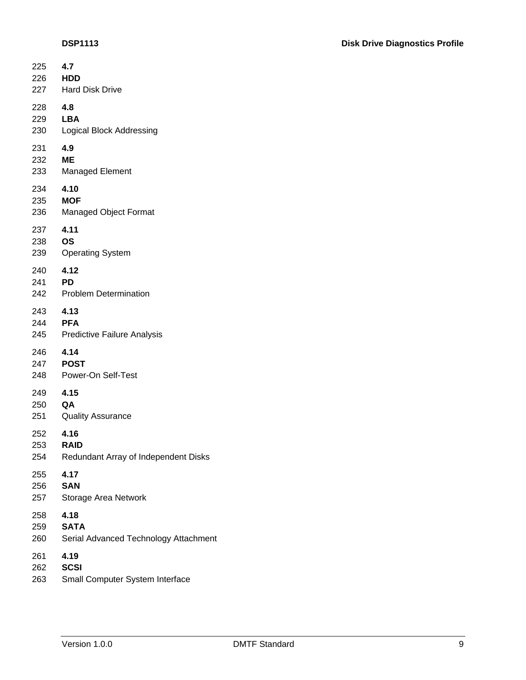| 225                  | -4.7                                                          |
|----------------------|---------------------------------------------------------------|
| 226                  | <b>HDD</b>                                                    |
| 227                  | <b>Hard Disk Drive</b>                                        |
| 228                  | 4.8                                                           |
| 229                  | LBA                                                           |
| 230                  | Logical Block Addressing                                      |
| 231                  | 4.9                                                           |
| 232                  | MЕ                                                            |
| 233                  | <b>Managed Element</b>                                        |
| 234                  | 4.10                                                          |
| 235                  | <b>MOF</b>                                                    |
| 236                  | Managed Object Format                                         |
| 237                  | 4.11                                                          |
| 238                  | <b>OS</b>                                                     |
| 239                  | <b>Operating System</b>                                       |
| 240<br>241           | 4.12<br><b>PD</b><br>242 Problem Determination                |
|                      | 243 4.13<br>244 <b>PFA</b><br>245 Predictive Failure Analysis |
| 246<br>248           | 4.14<br>247 <b>POST</b><br>Power-On Self-Test                 |
| 249<br>250 QA<br>251 | 4.15<br><b>Quality Assurance</b>                              |
| 252                  | 4.16                                                          |
| 253                  | RAID                                                          |
| 254                  | Redundant Array of Independent Disks                          |
| 255                  | 4.17                                                          |
| 256                  | SAN                                                           |
| 257                  | Storage Area Network                                          |
| 258                  | 4.18                                                          |
| 259                  | <b>SATA</b>                                                   |
| 260                  | Serial Advanced Technology Attachment                         |
| 261                  | 4.19                                                          |
| 262                  | <b>SCSI</b>                                                   |
| 263                  | Small Computer System Interface                               |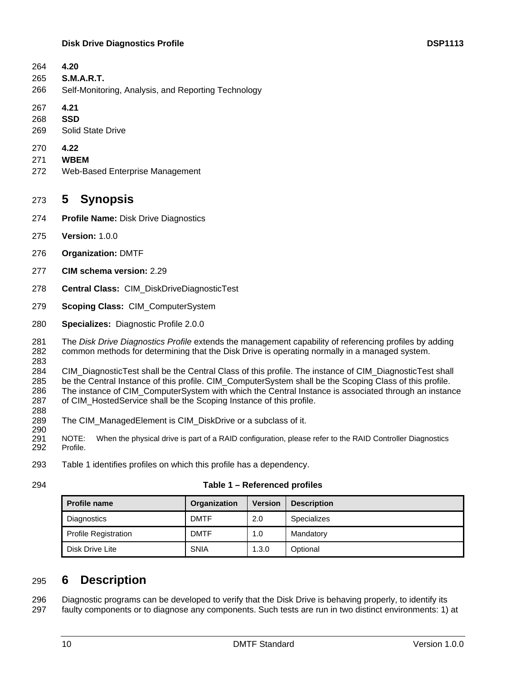<span id="page-9-0"></span>

| 264<br>265<br>266 | 4.20<br><b>S.M.A.R.T.</b><br>Self-Monitoring, Analysis, and Reporting Technology |
|-------------------|----------------------------------------------------------------------------------|
| 267<br>268<br>269 | 4.21<br><b>SSD</b><br><b>Solid State Drive</b>                                   |
| 270<br>271<br>272 | 4.22<br><b>WBEM</b><br>Web-Based Enterprise Management                           |
| 273               | 5 Synopsis                                                                       |
| 274               | <b>Profile Name: Disk Drive Diagnostics</b>                                      |
| 275               | <b>Version: 1.0.0</b>                                                            |
| 276               | <b>Organization: DMTF</b>                                                        |
| 277               | <b>CIM schema version: 2.29</b>                                                  |
| 278               | Central Class: CIM_DiskDriveDiagnosticTest                                       |
| 279               | Scoping Class: CIM_ComputerSystem                                                |

- <span id="page-9-2"></span>280 **Specializes:** Diagnostic Profile 2.0.0
- 281 282 The *Disk Drive Diagnostics Profile* extends the management capability of referencing profiles by adding common methods for determining that the Disk Drive is operating normally in a managed system.

283 284 285 286 CIM\_DiagnosticTest shall be the Central Class of this profile. The instance of CIM\_DiagnosticTest shall be the Central Instance of this profile. CIM\_ComputerSystem shall be the Scoping Class of this profile. The instance of CIM\_ComputerSystem with which the Central Instance is associated through an instance

- 287 288 of CIM\_HostedService shall be the Scoping Instance of this profile.
- 289 290 The CIM\_ManagedElement is CIM\_DiskDrive or a subclass of it.
- 291 292 NOTE: When the physical drive is part of a RAID configuration, please refer to the RAID Controller Diagnostics Profile.
- 293 [Table 1](#page-9-1) identifies profiles on which this profile has a dependency.

<span id="page-9-1"></span>294

### **Table 1 – Referenced profiles**

| <b>Profile name</b>         | Organization | <b>Version</b> | <b>Description</b> |
|-----------------------------|--------------|----------------|--------------------|
| Diagnostics                 | <b>DMTF</b>  | 2.0            | <b>Specializes</b> |
| <b>Profile Registration</b> | <b>DMTF</b>  | 1.0            | Mandatory          |
| Disk Drive Lite             | <b>SNIA</b>  | 1.3.0          | Optional           |

## 295 **6 Description**

296 297 Diagnostic programs can be developed to verify that the Disk Drive is behaving properly, to identify its faulty components or to diagnose any components. Such tests are run in two distinct environments: 1) at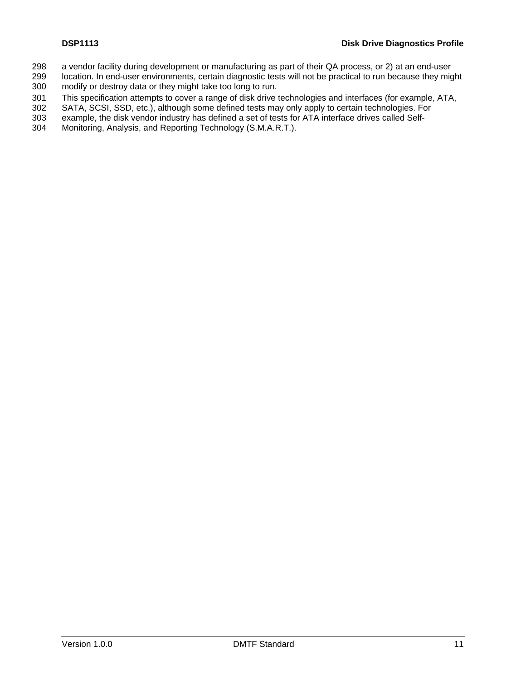- a vendor facility during development or manufacturing as part of their QA process, or 2) at an end-user 298
- location. In end-user environments, certain diagnostic tests will not be practical to run because they might modify or destroy data or they might take too long to run. 299 300
- 301 This specification attempts to cover a range of disk drive technologies and interfaces (for example, ATA,
- 302 SATA, SCSI, SSD, etc.), although some defined tests may only apply to certain technologies. For
- 303 example, the disk vendor industry has defined a set of tests for ATA interface drives called Self-
- 304 Monitoring, Analysis, and Reporting Technology (S.M.A.R.T.).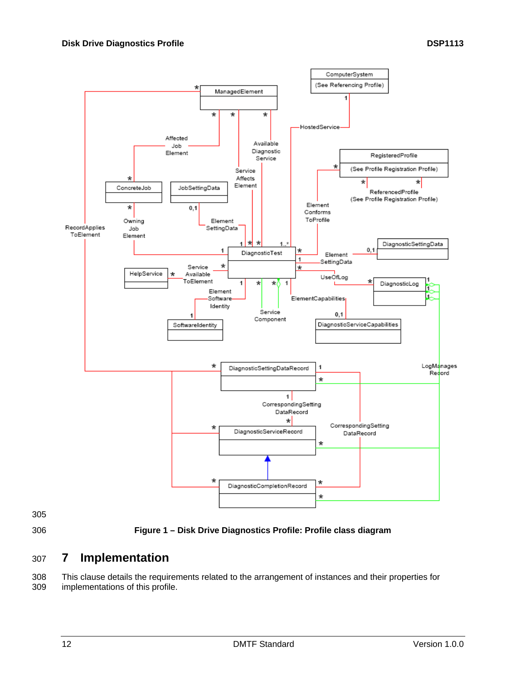<span id="page-11-0"></span>

305 306

**Figure 1 – Disk Drive Diagnostics Profile: Profile class diagram** 

### <span id="page-11-1"></span>307 **7 Implementation**

308 309 This clause details the requirements related to the arrangement of instances and their properties for implementations of this profile.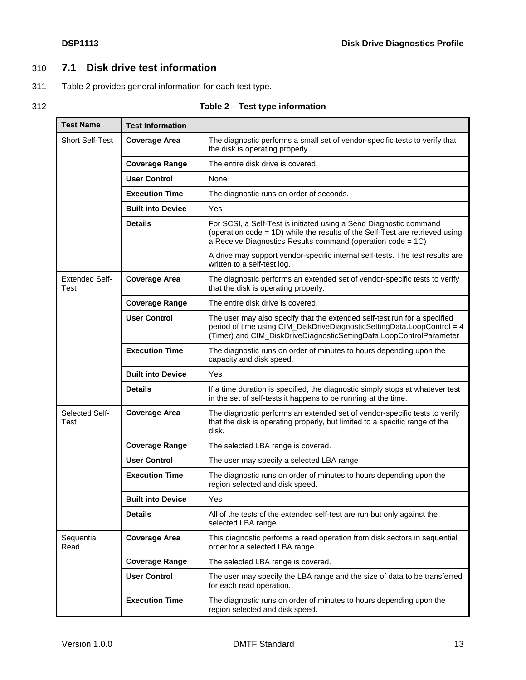### <span id="page-12-0"></span>310 **7.1 Disk drive test information**

- 311 [Table 2](#page-12-1) provides general information for each test type.
- <span id="page-12-1"></span>312

### **Table 2 – Test type information**

| <b>Test Name</b>              | <b>Test Information</b>  |                                                                                                                                                                                                                             |  |  |
|-------------------------------|--------------------------|-----------------------------------------------------------------------------------------------------------------------------------------------------------------------------------------------------------------------------|--|--|
| <b>Short Self-Test</b>        | <b>Coverage Area</b>     | The diagnostic performs a small set of vendor-specific tests to verify that<br>the disk is operating properly.                                                                                                              |  |  |
|                               | <b>Coverage Range</b>    | The entire disk drive is covered.                                                                                                                                                                                           |  |  |
|                               | <b>User Control</b>      | None                                                                                                                                                                                                                        |  |  |
|                               | <b>Execution Time</b>    | The diagnostic runs on order of seconds.                                                                                                                                                                                    |  |  |
|                               | <b>Built into Device</b> | Yes                                                                                                                                                                                                                         |  |  |
|                               | <b>Details</b>           | For SCSI, a Self-Test is initiated using a Send Diagnostic command<br>(operation code = 1D) while the results of the Self-Test are retrieved using<br>a Receive Diagnostics Results command (operation code = 1C)           |  |  |
|                               |                          | A drive may support vendor-specific internal self-tests. The test results are<br>written to a self-test log.                                                                                                                |  |  |
| <b>Extended Self-</b><br>Test | <b>Coverage Area</b>     | The diagnostic performs an extended set of vendor-specific tests to verify<br>that the disk is operating properly.                                                                                                          |  |  |
|                               | <b>Coverage Range</b>    | The entire disk drive is covered.                                                                                                                                                                                           |  |  |
|                               | <b>User Control</b>      | The user may also specify that the extended self-test run for a specified<br>period of time using CIM_DiskDriveDiagnosticSettingData.LoopControl = 4<br>(Timer) and CIM_DiskDriveDiagnosticSettingData.LoopControlParameter |  |  |
|                               | <b>Execution Time</b>    | The diagnostic runs on order of minutes to hours depending upon the<br>capacity and disk speed.                                                                                                                             |  |  |
|                               | <b>Built into Device</b> | Yes                                                                                                                                                                                                                         |  |  |
|                               | <b>Details</b>           | If a time duration is specified, the diagnostic simply stops at whatever test<br>in the set of self-tests it happens to be running at the time.                                                                             |  |  |
| Selected Self-<br>Test        | <b>Coverage Area</b>     | The diagnostic performs an extended set of vendor-specific tests to verify<br>that the disk is operating properly, but limited to a specific range of the<br>disk.                                                          |  |  |
|                               | <b>Coverage Range</b>    | The selected LBA range is covered.                                                                                                                                                                                          |  |  |
|                               | <b>User Control</b>      | The user may specify a selected LBA range                                                                                                                                                                                   |  |  |
|                               | <b>Execution Time</b>    | The diagnostic runs on order of minutes to hours depending upon the<br>region selected and disk speed.                                                                                                                      |  |  |
|                               | <b>Built into Device</b> | Yes                                                                                                                                                                                                                         |  |  |
|                               | <b>Details</b>           | All of the tests of the extended self-test are run but only against the<br>selected LBA range                                                                                                                               |  |  |
| Sequential<br>Read            | <b>Coverage Area</b>     | This diagnostic performs a read operation from disk sectors in sequential<br>order for a selected LBA range                                                                                                                 |  |  |
|                               | <b>Coverage Range</b>    | The selected LBA range is covered.                                                                                                                                                                                          |  |  |
|                               | <b>User Control</b>      | The user may specify the LBA range and the size of data to be transferred<br>for each read operation.                                                                                                                       |  |  |
|                               | <b>Execution Time</b>    | The diagnostic runs on order of minutes to hours depending upon the<br>region selected and disk speed.                                                                                                                      |  |  |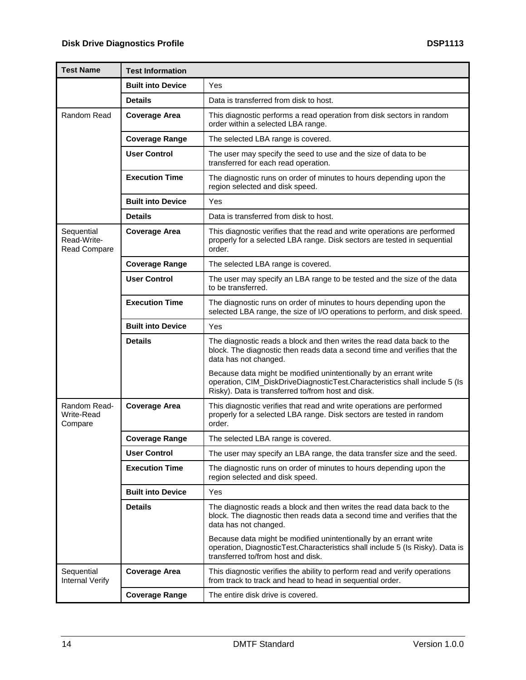| <b>Test Name</b>                             | <b>Test Information</b>  |                                                                                                                                                                                                       |  |  |
|----------------------------------------------|--------------------------|-------------------------------------------------------------------------------------------------------------------------------------------------------------------------------------------------------|--|--|
|                                              | <b>Built into Device</b> | Yes                                                                                                                                                                                                   |  |  |
|                                              | <b>Details</b>           | Data is transferred from disk to host.                                                                                                                                                                |  |  |
| Random Read                                  | <b>Coverage Area</b>     | This diagnostic performs a read operation from disk sectors in random<br>order within a selected LBA range.                                                                                           |  |  |
|                                              | <b>Coverage Range</b>    | The selected LBA range is covered.                                                                                                                                                                    |  |  |
|                                              | <b>User Control</b>      | The user may specify the seed to use and the size of data to be<br>transferred for each read operation.                                                                                               |  |  |
|                                              | <b>Execution Time</b>    | The diagnostic runs on order of minutes to hours depending upon the<br>region selected and disk speed.                                                                                                |  |  |
|                                              | <b>Built into Device</b> | Yes                                                                                                                                                                                                   |  |  |
|                                              | <b>Details</b>           | Data is transferred from disk to host.                                                                                                                                                                |  |  |
| Sequential<br>Read-Write-<br>Read Compare    | <b>Coverage Area</b>     | This diagnostic verifies that the read and write operations are performed<br>properly for a selected LBA range. Disk sectors are tested in sequential<br>order.                                       |  |  |
|                                              | <b>Coverage Range</b>    | The selected LBA range is covered.                                                                                                                                                                    |  |  |
|                                              | <b>User Control</b>      | The user may specify an LBA range to be tested and the size of the data<br>to be transferred.                                                                                                         |  |  |
|                                              | <b>Execution Time</b>    | The diagnostic runs on order of minutes to hours depending upon the<br>selected LBA range, the size of I/O operations to perform, and disk speed.                                                     |  |  |
|                                              | <b>Built into Device</b> | Yes                                                                                                                                                                                                   |  |  |
|                                              | <b>Details</b>           | The diagnostic reads a block and then writes the read data back to the<br>block. The diagnostic then reads data a second time and verifies that the<br>data has not changed.                          |  |  |
|                                              |                          | Because data might be modified unintentionally by an errant write<br>operation, CIM_DiskDriveDiagnosticTest.Characteristics shall include 5 (Is<br>Risky). Data is transferred to/from host and disk. |  |  |
| Random Read-<br><b>Write-Read</b><br>Compare | <b>Coverage Area</b>     | This diagnostic verifies that read and write operations are performed<br>properly for a selected LBA range. Disk sectors are tested in random<br>order.                                               |  |  |
|                                              | <b>Coverage Range</b>    | The selected LBA range is covered.                                                                                                                                                                    |  |  |
|                                              | <b>User Control</b>      | The user may specify an LBA range, the data transfer size and the seed.                                                                                                                               |  |  |
|                                              | <b>Execution Time</b>    | The diagnostic runs on order of minutes to hours depending upon the<br>region selected and disk speed.                                                                                                |  |  |
|                                              | <b>Built into Device</b> | Yes                                                                                                                                                                                                   |  |  |
|                                              | <b>Details</b>           | The diagnostic reads a block and then writes the read data back to the<br>block. The diagnostic then reads data a second time and verifies that the<br>data has not changed.                          |  |  |
|                                              |                          | Because data might be modified unintentionally by an errant write<br>operation, DiagnosticTest.Characteristics shall include 5 (Is Risky). Data is<br>transferred to/from host and disk.              |  |  |
| Sequential<br><b>Internal Verify</b>         | <b>Coverage Area</b>     | This diagnostic verifies the ability to perform read and verify operations<br>from track to track and head to head in sequential order.                                                               |  |  |
|                                              | <b>Coverage Range</b>    | The entire disk drive is covered.                                                                                                                                                                     |  |  |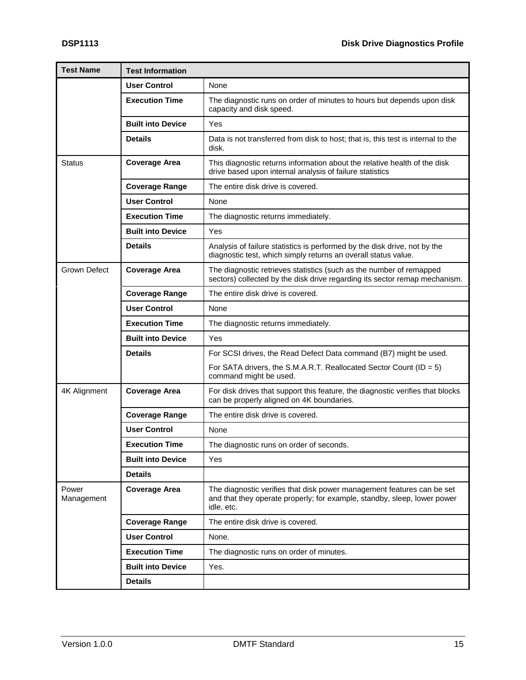| <b>Test Name</b>    | <b>Test Information</b>  |                                                                                                                                                                  |  |  |
|---------------------|--------------------------|------------------------------------------------------------------------------------------------------------------------------------------------------------------|--|--|
|                     | <b>User Control</b>      | None                                                                                                                                                             |  |  |
|                     | <b>Execution Time</b>    | The diagnostic runs on order of minutes to hours but depends upon disk<br>capacity and disk speed.                                                               |  |  |
|                     | <b>Built into Device</b> | Yes                                                                                                                                                              |  |  |
|                     | <b>Details</b>           | Data is not transferred from disk to host; that is, this test is internal to the<br>disk.                                                                        |  |  |
| Status              | <b>Coverage Area</b>     | This diagnostic returns information about the relative health of the disk<br>drive based upon internal analysis of failure statistics                            |  |  |
|                     | <b>Coverage Range</b>    | The entire disk drive is covered.                                                                                                                                |  |  |
|                     | <b>User Control</b>      | None                                                                                                                                                             |  |  |
|                     | <b>Execution Time</b>    | The diagnostic returns immediately.                                                                                                                              |  |  |
|                     | <b>Built into Device</b> | Yes                                                                                                                                                              |  |  |
|                     | <b>Details</b>           | Analysis of failure statistics is performed by the disk drive, not by the<br>diagnostic test, which simply returns an overall status value.                      |  |  |
| Grown Defect        | <b>Coverage Area</b>     | The diagnostic retrieves statistics (such as the number of remapped<br>sectors) collected by the disk drive regarding its sector remap mechanism.                |  |  |
|                     | <b>Coverage Range</b>    | The entire disk drive is covered.                                                                                                                                |  |  |
|                     | <b>User Control</b>      | None                                                                                                                                                             |  |  |
|                     | <b>Execution Time</b>    | The diagnostic returns immediately.                                                                                                                              |  |  |
|                     | <b>Built into Device</b> | Yes                                                                                                                                                              |  |  |
|                     | <b>Details</b>           | For SCSI drives, the Read Defect Data command (B7) might be used.                                                                                                |  |  |
|                     |                          | For SATA drivers, the S.M.A.R.T. Reallocated Sector Count (ID = $5$ )<br>command might be used.                                                                  |  |  |
| 4K Alignment        | <b>Coverage Area</b>     | For disk drives that support this feature, the diagnostic verifies that blocks<br>can be properly aligned on 4K boundaries.                                      |  |  |
|                     | <b>Coverage Range</b>    | The entire disk drive is covered.                                                                                                                                |  |  |
|                     | <b>User Control</b>      | None                                                                                                                                                             |  |  |
|                     | <b>Execution Time</b>    | The diagnostic runs on order of seconds.                                                                                                                         |  |  |
|                     | <b>Built into Device</b> | Yes                                                                                                                                                              |  |  |
|                     | <b>Details</b>           |                                                                                                                                                                  |  |  |
| Power<br>Management | <b>Coverage Area</b>     | The diagnostic verifies that disk power management features can be set<br>and that they operate properly; for example, standby, sleep, lower power<br>idle, etc. |  |  |
|                     | <b>Coverage Range</b>    | The entire disk drive is covered.                                                                                                                                |  |  |
|                     | <b>User Control</b>      | None.                                                                                                                                                            |  |  |
|                     | <b>Execution Time</b>    | The diagnostic runs on order of minutes.                                                                                                                         |  |  |
|                     | <b>Built into Device</b> | Yes.                                                                                                                                                             |  |  |
|                     | <b>Details</b>           |                                                                                                                                                                  |  |  |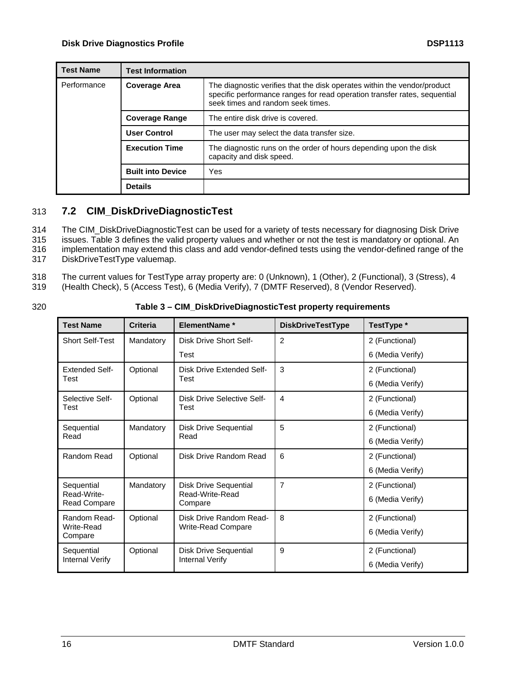<span id="page-15-0"></span>

| <b>Test Name</b> | <b>Test Information</b>  |                                                                                                                                                                                            |  |  |  |
|------------------|--------------------------|--------------------------------------------------------------------------------------------------------------------------------------------------------------------------------------------|--|--|--|
| Performance      | <b>Coverage Area</b>     | The diagnostic verifies that the disk operates within the vendor/product<br>specific performance ranges for read operation transfer rates, sequential<br>seek times and random seek times. |  |  |  |
|                  | <b>Coverage Range</b>    | The entire disk drive is covered.                                                                                                                                                          |  |  |  |
|                  | <b>User Control</b>      | The user may select the data transfer size.                                                                                                                                                |  |  |  |
|                  | <b>Execution Time</b>    | The diagnostic runs on the order of hours depending upon the disk<br>capacity and disk speed.                                                                                              |  |  |  |
|                  | <b>Built into Device</b> | Yes                                                                                                                                                                                        |  |  |  |
|                  | <b>Details</b>           |                                                                                                                                                                                            |  |  |  |

### <span id="page-15-2"></span>313 **7.2 CIM\_DiskDriveDiagnosticTest**

314 The CIM\_DiskDriveDiagnosticTest can be used for a variety of tests necessary for diagnosing Disk Drive

315 316 issues. [Table 3](#page-15-1) defines the valid property values and whether or not the test is mandatory or optional. An implementation may extend this class and add vendor-defined tests using the vendor-defined range of the

317 DiskDriveTestType valuemap.

- 319 (Health Check), 5 (Access Test), 6 (Media Verify), 7 (DMTF Reserved), 8 (Vendor Reserved).
- <span id="page-15-1"></span>320

**Table 3 – CIM\_DiskDriveDiagnosticTest property requirements** 

| <b>Test Name</b>            | Criteria  | ElementName *                                              | <b>DiskDriveTestType</b> | TestType *       |
|-----------------------------|-----------|------------------------------------------------------------|--------------------------|------------------|
| <b>Short Self-Test</b>      | Mandatory | Disk Drive Short Self-                                     | $\overline{2}$           | 2 (Functional)   |
|                             |           | Test                                                       |                          | 6 (Media Verify) |
| <b>Extended Self-</b>       | Optional  | Disk Drive Extended Self-                                  | 3                        | 2 (Functional)   |
| Test                        |           | Test                                                       |                          | 6 (Media Verify) |
| Selective Self-             | Optional  | Disk Drive Selective Self-                                 | 4                        | 2 (Functional)   |
| Test                        |           | Test                                                       |                          | 6 (Media Verify) |
| Sequential                  | Mandatory | <b>Disk Drive Sequential</b><br>Read                       | 5                        | 2 (Functional)   |
| Read                        |           |                                                            |                          | 6 (Media Verify) |
| Random Read                 | Optional  | Disk Drive Random Read                                     | 6                        | 2 (Functional)   |
|                             |           |                                                            |                          | 6 (Media Verify) |
| Sequential                  | Mandatory | <b>Disk Drive Sequential</b><br>Read-Write-Read<br>Compare | 7                        | 2 (Functional)   |
| Read-Write-<br>Read Compare |           |                                                            |                          | 6 (Media Verify) |
| Random Read-                | Optional  | Disk Drive Random Read-                                    | 8                        | 2 (Functional)   |
| Write-Read<br>Compare       |           | Write-Read Compare                                         |                          | 6 (Media Verify) |
| Sequential                  | Optional  | Disk Drive Sequential                                      | 9                        | 2 (Functional)   |
| <b>Internal Verify</b>      |           | <b>Internal Verify</b>                                     |                          | 6 (Media Verify) |

<sup>318</sup>  The current values for TestType array property are: 0 (Unknown), 1 (Other), 2 (Functional), 3 (Stress), 4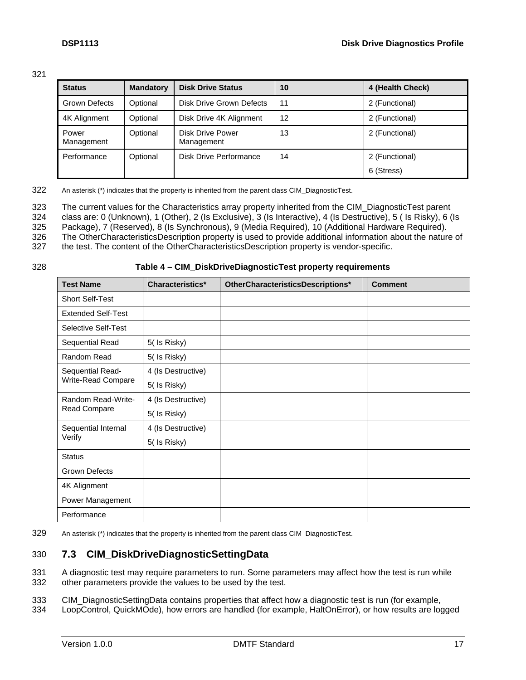<span id="page-16-0"></span>321

| <b>Status</b>        | <b>Mandatory</b> | <b>Disk Drive Status</b>       | 10 | 4 (Health Check) |
|----------------------|------------------|--------------------------------|----|------------------|
| <b>Grown Defects</b> | Optional         | Disk Drive Grown Defects       | 11 | 2 (Functional)   |
| 4K Alignment         | Optional         | Disk Drive 4K Alignment        | 12 | 2 (Functional)   |
| Power<br>Management  | Optional         | Disk Drive Power<br>Management | 13 | 2 (Functional)   |
| Performance          | Optional         | <b>Disk Drive Performance</b>  | 14 | 2 (Functional)   |
|                      |                  |                                |    | 6 (Stress)       |

322 An asterisk (\*) indicates that the property is inherited from the parent class CIM\_DiagnosticTest.

323 The current values for the Characteristics array property inherited from the CIM\_DiagnosticTest parent

324 325 class are: 0 (Unknown), 1 (Other), 2 (Is Exclusive), 3 (Is Interactive), 4 (Is Destructive), 5 ( Is Risky), 6 (Is Package), 7 (Reserved), 8 (Is Synchronous), 9 (Media Required), 10 (Additional Hardware Required).

326 The OtherCharacteristicsDescription property is used to provide additional information about the nature of

327 the test. The content of the OtherCharacteristicsDescription property is vendor-specific.

328

### **Table 4 – CIM\_DiskDriveDiagnosticTest property requirements**

| <b>Test Name</b>          | Characteristics*   | OtherCharacteristicsDescriptions* | <b>Comment</b> |
|---------------------------|--------------------|-----------------------------------|----------------|
| <b>Short Self-Test</b>    |                    |                                   |                |
| <b>Extended Self-Test</b> |                    |                                   |                |
| Selective Self-Test       |                    |                                   |                |
| Sequential Read           | 5(Is Risky)        |                                   |                |
| Random Read               | 5(Is Risky)        |                                   |                |
| Sequential Read-          | 4 (Is Destructive) |                                   |                |
| Write-Read Compare        | 5(Is Risky)        |                                   |                |
| Random Read-Write-        | 4 (Is Destructive) |                                   |                |
| Read Compare              | 5(Is Risky)        |                                   |                |
| Sequential Internal       | 4 (Is Destructive) |                                   |                |
| Verify                    | 5(Is Risky)        |                                   |                |
| <b>Status</b>             |                    |                                   |                |
| <b>Grown Defects</b>      |                    |                                   |                |
| 4K Alignment              |                    |                                   |                |
| Power Management          |                    |                                   |                |
| Performance               |                    |                                   |                |

329 An asterisk (\*) indicates that the property is inherited from the parent class CIM\_DiagnosticTest.

#### <span id="page-16-1"></span>330 **7.3 CIM\_DiskDriveDiagnosticSettingData**

331 332 A diagnostic test may require parameters to run. Some parameters may affect how the test is run while other parameters provide the values to be used by the test.

333 CIM\_DiagnosticSettingData contains properties that affect how a diagnostic test is run (for example,

334 LoopControl, QuickMOde), how errors are handled (for example, HaltOnError), or how results are logged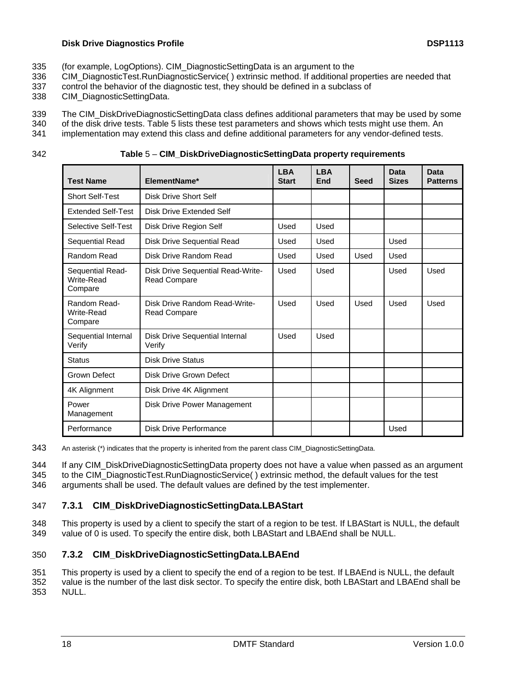- <span id="page-17-0"></span>(for example, LogOptions). CIM\_DiagnosticSettingData is an argument to the 335
- CIM\_DiagnosticTest.RunDiagnosticService( ) extrinsic method. If additional properties are needed that 336
- control the behavior of the diagnostic test, they should be defined in a subclass of 337
- CIM\_DiagnosticSettingData. 338
- 339 The CIM\_DiskDriveDiagnosticSettingData class defines additional parameters that may be used by some
- 340 of the disk drive tests. [Table 5](#page-17-1) lists these test parameters and shows which tests might use them. An
- 341 implementation may extend this class and define additional parameters for any vendor-defined tests.

<span id="page-17-1"></span>342

**Table** 5 – **CIM\_DiskDriveDiagnosticSettingData property requirements** 

| <b>Test Name</b>                          | ElementName*                                             | I BA<br><b>Start</b> | I BA<br>End | <b>Seed</b> | Data<br><b>Sizes</b> | <b>Data</b><br><b>Patterns</b> |
|-------------------------------------------|----------------------------------------------------------|----------------------|-------------|-------------|----------------------|--------------------------------|
| <b>Short Self-Test</b>                    | Disk Drive Short Self                                    |                      |             |             |                      |                                |
| <b>Extended Self-Test</b>                 | Disk Drive Extended Self                                 |                      |             |             |                      |                                |
| Selective Self-Test                       | Disk Drive Region Self                                   | Used                 | Used        |             |                      |                                |
| Sequential Read                           | Disk Drive Sequential Read                               | Used                 | Used        |             | Used                 |                                |
| Random Read                               | Disk Drive Random Read                                   | Used                 | Used        | Used        | Used                 |                                |
| Sequential Read-<br>Write-Read<br>Compare | Disk Drive Sequential Read-Write-<br><b>Read Compare</b> | Used                 | Used        |             | Used                 | Used                           |
| Random Read-<br>Write-Read<br>Compare     | Disk Drive Random Read-Write-<br><b>Read Compare</b>     | Used                 | Used        | Used        | Used                 | Used                           |
| Sequential Internal<br>Verify             | Disk Drive Sequential Internal<br>Verify                 | Used                 | Used        |             |                      |                                |
| <b>Status</b>                             | <b>Disk Drive Status</b>                                 |                      |             |             |                      |                                |
| Grown Defect                              | Disk Drive Grown Defect                                  |                      |             |             |                      |                                |
| 4K Alignment                              | Disk Drive 4K Alignment                                  |                      |             |             |                      |                                |
| Power<br>Management                       | Disk Drive Power Management                              |                      |             |             |                      |                                |
| Performance                               | <b>Disk Drive Performance</b>                            |                      |             |             | Used                 |                                |

343 An asterisk (\*) indicates that the property is inherited from the parent class CIM\_DiagnosticSettingData.

344 345 If any CIM\_DiskDriveDiagnosticSettingData property does not have a value when passed as an argument to the CIM\_DiagnosticTest.RunDiagnosticService( ) extrinsic method, the default values for the test

346 arguments shall be used. The default values are defined by the test implementer.

#### <span id="page-17-2"></span>347 **7.3.1 CIM\_DiskDriveDiagnosticSettingData.LBAStart**

348 349 This property is used by a client to specify the start of a region to be test. If LBAStart is NULL, the default value of 0 is used. To specify the entire disk, both LBAStart and LBAEnd shall be NULL.

#### <span id="page-17-3"></span>350 **7.3.2 CIM\_DiskDriveDiagnosticSettingData.LBAEnd**

351 This property is used by a client to specify the end of a region to be test. If LBAEnd is NULL, the default

352 353 value is the number of the last disk sector. To specify the entire disk, both LBAStart and LBAEnd shall be NULL.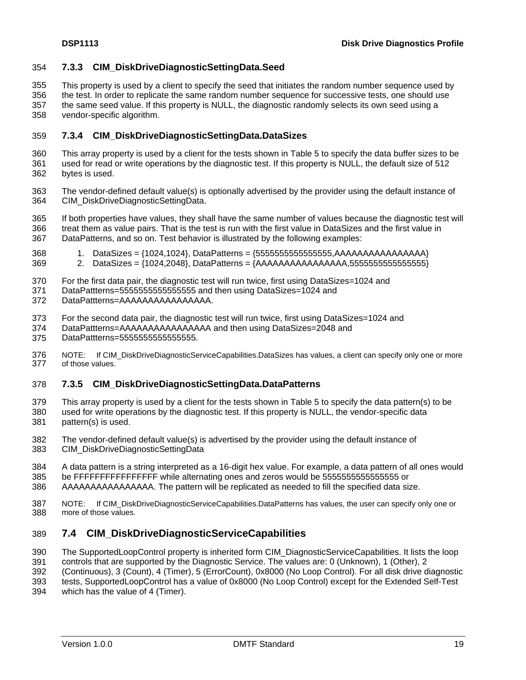### <span id="page-18-1"></span><span id="page-18-0"></span>354 **7.3.3 CIM\_DiskDriveDiagnosticSettingData.Seed**

355 356 This property is used by a client to specify the seed that initiates the random number sequence used by the test. In order to replicate the same random number sequence for successive tests, one should use the same seed value. If this property is NULL, the diagnostic randomly selects its own seed using a

357 358 vendor-specific algorithm.

#### <span id="page-18-2"></span>359 **7.3.4 CIM\_DiskDriveDiagnosticSettingData.DataSizes**

- 360 361 362 This array property is used by a client for the tests shown in [Table 5](#page-17-1) to specify the data buffer sizes to be used for read or write operations by the diagnostic test. If this property is NULL, the default size of 512 bytes is used.
- 363 364 The vendor-defined default value(s) is optionally advertised by the provider using the default instance of CIM\_DiskDriveDiagnosticSettingData.
- 365 366 367 If both properties have values, they shall have the same number of values because the diagnostic test will treat them as value pairs. That is the test is run with the first value in DataSizes and the first value in DataPatterns, and so on. Test behavior is illustrated by the following examples:
- 368 1. DataSizes = {1024,1024}, DataPatterns = {5555555555555555,AAAAAAAAAAAAAAAA}
- 369 2. DataSizes = {1024,2048}, DataPatterns = {AAAAAAAAAAAAAAAA,5555555555555555}

#### 370 For the first data pair, the diagnostic test will run twice, first using DataSizes=1024 and

- 371 DataPattterns=5555555555555555 and then using DataSizes=1024 and
- 372 DataPattterns=AAAAAAAAAAAAAAAA.
- 373 For the second data pair, the diagnostic test will run twice, first using DataSizes=1024 and
- 374 DataPattterns=AAAAAAAAAAAAAAAA and then using DataSizes=2048 and
- 375 DataPattterns=5555555555555555.
- 376 377 NOTE: If CIM\_DiskDriveDiagnosticServiceCapabilities.DataSizes has values, a client can specify only one or more of those values.

#### <span id="page-18-3"></span>378 **7.3.5 CIM\_DiskDriveDiagnosticSettingData.DataPatterns**

- 379 380 381 This array property is used by a client for the tests shown in [Table 5](#page-17-1) to specify the data pattern(s) to be used for write operations by the diagnostic test. If this property is NULL, the vendor-specific data pattern(s) is used.
- 382 383 The vendor-defined default value(s) is advertised by the provider using the default instance of CIM\_DiskDriveDiagnosticSettingData
- 384 A data pattern is a string interpreted as a 16-digit hex value. For example, a data pattern of all ones would
- 385 be FFFFFFFFFFFFFFFF while alternating ones and zeros would be 5555555555555555 or
- 386 AAAAAAAAAAAAAAAA. The pattern will be replicated as needed to fill the specified data size.
- 387 388 NOTE: If CIM\_DiskDriveDiagnosticServiceCapabilities.DataPatterns has values, the user can specify only one or more of those values.

#### <span id="page-18-4"></span>389 **7.4 CIM\_DiskDriveDiagnosticServiceCapabilities**

390 The SupportedLoopControl property is inherited form CIM\_DiagnosticServiceCapabilities. It lists the loop

391 controls that are supported by the Diagnostic Service. The values are: 0 (Unknown), 1 (Other), 2

392 (Continuous), 3 (Count), 4 (Timer), 5 (ErrorCount), 0x8000 (No Loop Control). For all disk drive diagnostic

393 tests, SupportedLoopControl has a value of 0x8000 (No Loop Control) except for the Extended Self-Test

394 which has the value of 4 (Timer).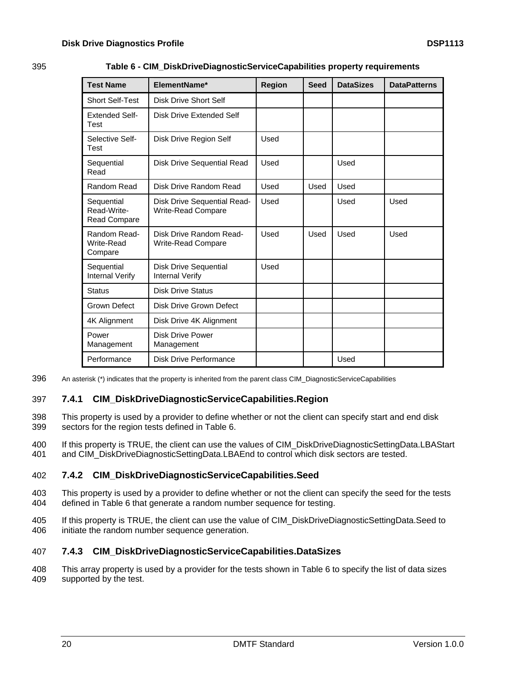| <b>Short Self-Test</b>                    | Disk Drive Short Self                                    |      |      |      |      |
|-------------------------------------------|----------------------------------------------------------|------|------|------|------|
| <b>Extended Self-</b><br>Test             | Disk Drive Extended Self                                 |      |      |      |      |
| Selective Self-<br>Test                   | Disk Drive Region Self                                   | Used |      |      |      |
| Sequential<br>Read                        | Disk Drive Sequential Read                               | Used |      | Used |      |
| Random Read                               | Disk Drive Random Read                                   | Used | Used | Used |      |
| Sequential<br>Read-Write-<br>Read Compare | Disk Drive Sequential Read-<br><b>Write-Read Compare</b> | Used |      | Used | Used |
| Random Read-<br>Write-Read<br>Compare     | Disk Drive Random Read-<br><b>Write-Read Compare</b>     | Used | Used | Used | Used |
| Sequential<br><b>Internal Verify</b>      | <b>Disk Drive Sequential</b><br>Internal Verify          | Used |      |      |      |
| <b>Status</b>                             | <b>Disk Drive Status</b>                                 |      |      |      |      |
| Grown Defect                              | Disk Drive Grown Defect                                  |      |      |      |      |
| 4K Alignment                              | Disk Drive 4K Alignment                                  |      |      |      |      |
| Power<br>Management                       | <b>Disk Drive Power</b><br>Management                    |      |      |      |      |

### <span id="page-19-1"></span><span id="page-19-0"></span>395 **Table 6 - CIM\_DiskDriveDiagnosticServiceCapabilities property requirements**

**Test Name ElementName\* Region Seed DataSizes DataPatterns** 

396 An asterisk (\*) indicates that the property is inherited from the parent class CIM\_DiagnosticServiceCapabilities

Performance Disk Drive Performance | Disk Drive Performance

#### <span id="page-19-2"></span>397 **7.4.1 CIM\_DiskDriveDiagnosticServiceCapabilities.Region**

- 398 399 This property is used by a provider to define whether or not the client can specify start and end disk sectors for the region tests defined in [Table 6](#page-19-1).
- 400 401 If this property is TRUE, the client can use the values of CIM\_DiskDriveDiagnosticSettingData.LBAStart and CIM\_DiskDriveDiagnosticSettingData.LBAEnd to control which disk sectors are tested.

#### <span id="page-19-3"></span>402 **7.4.2 CIM\_DiskDriveDiagnosticServiceCapabilities.Seed**

- 403 404 This property is used by a provider to define whether or not the client can specify the seed for the tests defined in [Table 6](#page-19-1) that generate a random number sequence for testing.
- 405 406 If this property is TRUE, the client can use the value of CIM\_DiskDriveDiagnosticSettingData.Seed to initiate the random number sequence generation.

#### <span id="page-19-4"></span>407 **7.4.3 CIM\_DiskDriveDiagnosticServiceCapabilities.DataSizes**

408 409 This array property is used by a provider for the tests shown in [Table 6](#page-19-1) to specify the list of data sizes supported by the test.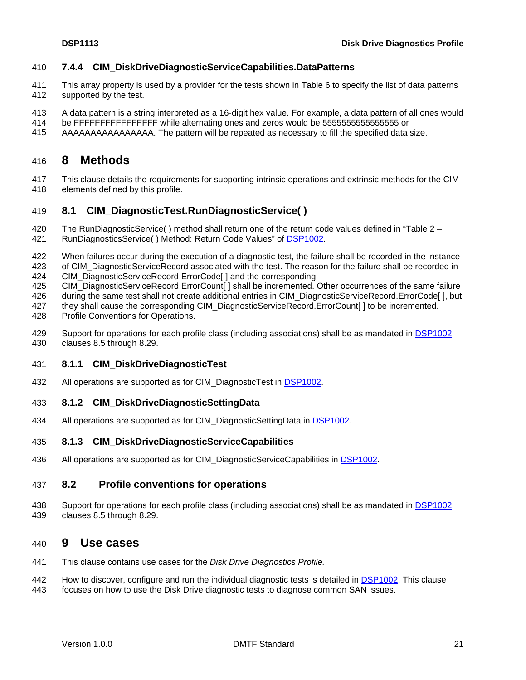### <span id="page-20-2"></span><span id="page-20-0"></span>410 **7.4.4 CIM\_DiskDriveDiagnosticServiceCapabilities.DataPatterns**

- 411 412 This array property is used by a provider for the tests shown in [Table 6](#page-19-1) to specify the list of data patterns supported by the test.
- 413 A data pattern is a string interpreted as a 16-digit hex value. For example, a data pattern of all ones would
- 414 be FFFFFFFFFFFFFFFF while alternating ones and zeros would be 5555555555555555 or
- 415 AAAAAAAAAAAAAAAA. The pattern will be repeated as necessary to fill the specified data size.

#### <span id="page-20-1"></span>416 **8 Methods**

417 418 This clause details the requirements for supporting intrinsic operations and extrinsic methods for the CIM elements defined by this profile.

#### 419 **8.1 CIM\_DiagnosticTest.RunDiagnosticService( )**

- 420 The RunDiagnosticService( ) method shall return one of the return code values defined in "Table 2 –
- 421 RunDiagnosticsService() Method: Return Code Values" of [DSP1002.](#page-6-0)
- 422 423 When failures occur during the execution of a diagnostic test, the failure shall be recorded in the instance of CIM\_DiagnosticServiceRecord associated with the test. The reason for the failure shall be recorded in
- 
- 424 CIM\_DiagnosticServiceRecord.ErrorCode[ ] and the corresponding
- 425 CIM\_DiagnosticServiceRecord.ErrorCount[ ] shall be incremented. Other occurrences of the same failure
- 426 during the same test shall not create additional entries in CIM\_DiagnosticServiceRecord.ErrorCode[ ], but
- 427 they shall cause the corresponding CIM\_DiagnosticServiceRecord.ErrorCount[ ] to be incremented.
- 428 Profile Conventions for Operations.
- Support for operations for each profile class (including associations) shall be as mandated in [DSP1002](#page-6-0) clauses 8.5 through 8.29. 429 430

### 431 **8.1.1 CIM\_DiskDriveDiagnosticTest**

- 432 All operations are supported as for CIM\_DiagnosticTest in [DSP1002.](#page-6-0)
- 433 **8.1.2 CIM\_DiskDriveDiagnosticSettingData**
- 434 All operations are supported as for CIM\_DiagnosticSettingData in [DSP1002.](#page-6-0)

### 435 **8.1.3 CIM\_DiskDriveDiagnosticServiceCapabilities**

436 All operations are supported as for CIM\_DiagnosticServiceCapabilities in [DSP1002](#page-6-0).

### 437 **8.2 Profile conventions for operations**

Support for operations for each profile class (including associations) shall be as mandated in [DSP1002](#page-6-0) clauses 8.5 through 8.29. 438 439

#### 440 **9 Use cases**

- 441 This clause contains use cases for the *Disk Drive Diagnostics Profile.*
- How to discover, configure and run the individual diagnostic tests is detailed in [DSP1002](#page-6-0). This clause 442
- focuses on how to use the Disk Drive diagnostic tests to diagnose common SAN issues. 443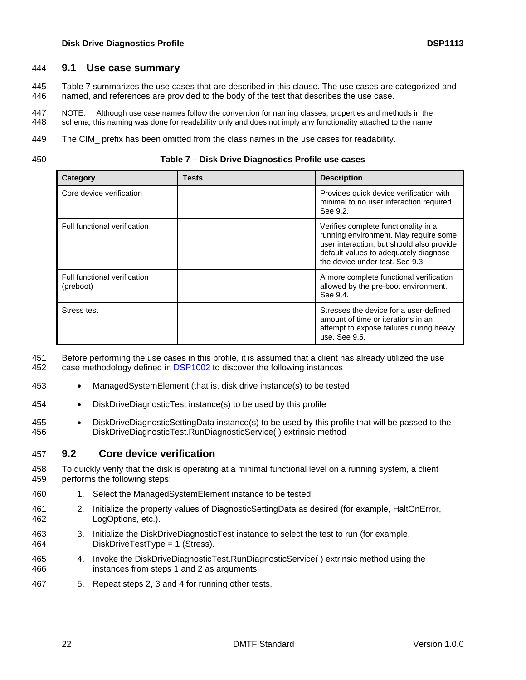### <span id="page-21-0"></span>444 **9.1 Use case summary**

445 446 [Table 7](#page-21-1) summarizes the use cases that are described in this clause. The use cases are categorized and named, and references are provided to the body of the test that describes the use case.

447 NOTE: Although use case names follow the convention for naming classes, properties and methods in the

- 448 schema, this naming was done for readability only and does not imply any functionality attached to the name.
- 449 The CIM prefix has been omitted from the class names in the use cases for readability.

<span id="page-21-1"></span>450

| Category                                  | <b>Tests</b> | <b>Description</b>                                                                                                                                                                                     |
|-------------------------------------------|--------------|--------------------------------------------------------------------------------------------------------------------------------------------------------------------------------------------------------|
| Core device verification                  |              | Provides quick device verification with<br>minimal to no user interaction required.<br>See 9.2.                                                                                                        |
| Full functional verification              |              | Verifies complete functionality in a<br>running environment. May require some<br>user interaction, but should also provide<br>default values to adequately diagnose<br>the device under test. See 9.3. |
| Full functional verification<br>(preboot) |              | A more complete functional verification<br>allowed by the pre-boot environment.<br>See 9.4.                                                                                                            |
| Stress test                               |              | Stresses the device for a user-defined<br>amount of time or iterations in an<br>attempt to expose failures during heavy<br>use, See 9.5.                                                               |

Before performing the use cases in this profile, it is assumed that a client has already utilized the use 452 case methodology defined in **DSP1002** to discover the following instances 451

- 453 • ManagedSystemElement (that is, disk drive instance(s) to be tested
- 454 • DiskDriveDiagnosticTest instance(s) to be used by this profile
- 455 456 • DiskDriveDiagnosticSettingData instance(s) to be used by this profile that will be passed to the DiskDriveDiagnosticTest.RunDiagnosticService( ) extrinsic method

#### <span id="page-21-2"></span>457 **9.2 Core device verification**

- 458 459 To quickly verify that the disk is operating at a minimal functional level on a running system, a client performs the following steps:
- 460 1. Select the ManagedSystemElement instance to be tested.
- 461 462 2. Initialize the property values of DiagnosticSettingData as desired (for example, HaltOnError, LogOptions, etc.).
- 463 464 3. Initialize the DiskDriveDiagnosticTest instance to select the test to run (for example, DiskDriveTestType = 1 (Stress).
- 465 466 4. Invoke the DiskDriveDiagnosticTest.RunDiagnosticService( ) extrinsic method using the instances from steps 1 and 2 as arguments.
- 467 5. Repeat steps 2, 3 and 4 for running other tests.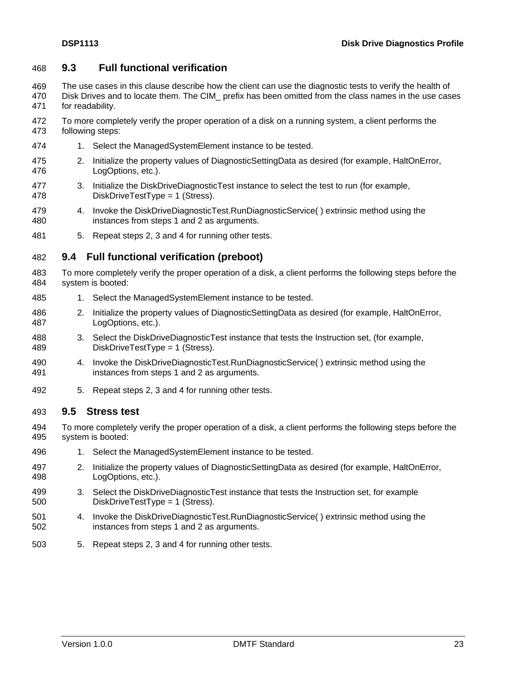### <span id="page-22-1"></span><span id="page-22-0"></span>468 **9.3 Full functional verification**

469 470 The use cases in this clause describe how the client can use the diagnostic tests to verify the health of Disk Drives and to locate them. The CIM prefix has been omitted from the class names in the use cases

- 471 for readability.
- 472 473 To more completely verify the proper operation of a disk on a running system, a client performs the following steps:
- 474 1. Select the ManagedSystemElement instance to be tested.
- 475 476 2. Initialize the property values of DiagnosticSettingData as desired (for example, HaltOnError, LogOptions, etc.).
- 477 478 3. Initialize the DiskDriveDiagnosticTest instance to select the test to run (for example, DiskDriveTestType = 1 (Stress).
- 479 480 4. Invoke the DiskDriveDiagnosticTest.RunDiagnosticService( ) extrinsic method using the instances from steps 1 and 2 as arguments.
- 481 5. Repeat steps 2, 3 and 4 for running other tests.

#### <span id="page-22-2"></span>482 **9.4 Full functional verification (preboot)**

- 483 484 To more completely verify the proper operation of a disk, a client performs the following steps before the system is booted:
- 485 1. Select the ManagedSystemElement instance to be tested.
- 486 487 2. Initialize the property values of DiagnosticSettingData as desired (for example, HaltOnError, LogOptions, etc.).
- 488 489 3. Select the DiskDriveDiagnosticTest instance that tests the Instruction set, (for example, DiskDriveTestType = 1 (Stress).
- 490 491 4. Invoke the DiskDriveDiagnosticTest.RunDiagnosticService( ) extrinsic method using the instances from steps 1 and 2 as arguments.
- 492 5. Repeat steps 2, 3 and 4 for running other tests.

#### <span id="page-22-3"></span>493 **9.5 Stress test**

- 494 495 To more completely verify the proper operation of a disk, a client performs the following steps before the system is booted:
- 496 1. Select the ManagedSystemElement instance to be tested.
- 497 498 2. Initialize the property values of DiagnosticSettingData as desired (for example, HaltOnError, LogOptions, etc.).
- 499 500 3. Select the DiskDriveDiagnosticTest instance that tests the Instruction set, for example DiskDriveTestType = 1 (Stress).
- 501 502 4. Invoke the DiskDriveDiagnosticTest.RunDiagnosticService( ) extrinsic method using the instances from steps 1 and 2 as arguments.
- 503 5. Repeat steps 2, 3 and 4 for running other tests.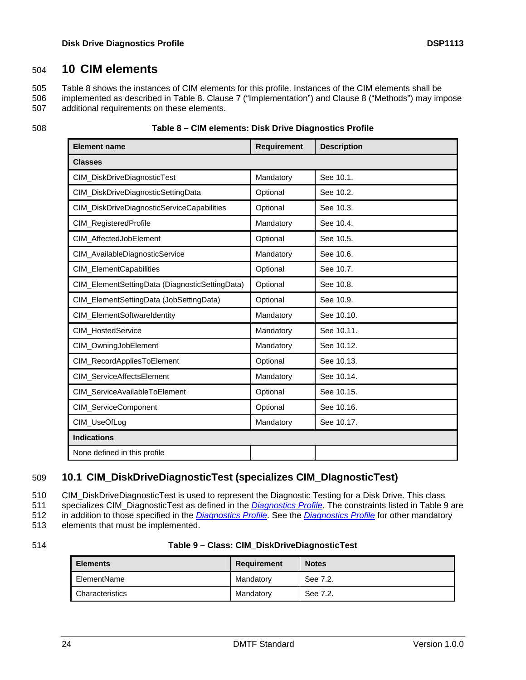### <span id="page-23-0"></span>504 **10 CIM elements**

505 506 507 [Table 8](#page-23-1) shows the instances of CIM elements for this profile. Instances of the CIM elements shall be implemented as described in [Table 8](#page-23-1). Clause [7](#page-11-1) ("Implementation") and Clause [8](#page-20-1) ("Methods") may impose additional requirements on these elements.

<span id="page-23-1"></span>

### **Table 8 – CIM elements: Disk Drive Diagnostics Profile**

| <b>Element name</b>                            | <b>Requirement</b> | <b>Description</b> |
|------------------------------------------------|--------------------|--------------------|
| <b>Classes</b>                                 |                    |                    |
| CIM_DiskDriveDiagnosticTest                    | Mandatory          | See 10.1.          |
| CIM_DiskDriveDiagnosticSettingData             | Optional           | See 10.2.          |
| CIM_DiskDriveDiagnosticServiceCapabilities     | Optional           | See 10.3.          |
| CIM_RegisteredProfile                          | Mandatory          | See 10.4.          |
| CIM_AffectedJobElement                         | Optional           | See 10.5.          |
| CIM_AvailableDiagnosticService                 | Mandatory          | See 10.6.          |
| CIM_ElementCapabilities                        | Optional           | See 10.7.          |
| CIM_ElementSettingData (DiagnosticSettingData) | Optional           | See 10.8.          |
| CIM_ElementSettingData (JobSettingData)        | Optional           | See 10.9.          |
| CIM_ElementSoftwareIdentity                    | Mandatory          | See 10.10.         |
| CIM_HostedService                              | Mandatory          | See 10.11.         |
| CIM_OwningJobElement                           | Mandatory          | See 10.12.         |
| CIM_RecordAppliesToElement                     | Optional           | See 10.13.         |
| CIM_ServiceAffectsElement                      | Mandatory          | See 10.14.         |
| CIM_ServiceAvailableToElement                  | Optional           | See 10.15.         |
| CIM_ServiceComponent                           | Optional           | See 10.16.         |
| CIM_UseOfLog                                   | Mandatory          | See 10.17.         |
| <b>Indications</b>                             |                    |                    |
| None defined in this profile                   |                    |                    |

### <span id="page-23-2"></span>509 **10.1 CIM\_DiskDriveDiagnosticTest (specializes CIM\_DIagnosticTest)**

510 CIM\_DiskDriveDiagnosticTest is used to represent the Diagnostic Testing for a Disk Drive. This class

specializes CIM\_DiagnosticTest as defined in the *[Diagnostics Profile](#page-6-0)*. The constraints listed in [Table 9](#page-23-3) are 511

in addition to those specified in the *[Diagnostics Profile](#page-6-0)*. See the *[Diagnostics Profile](#page-6-0)* for other mandatory 512

elements that must be implemented. 513

<span id="page-23-3"></span>

### 514 **Table 9 – Class: CIM\_DiskDriveDiagnosticTest**

| <b>Elements</b> | <b>Requirement</b> | <b>Notes</b> |
|-----------------|--------------------|--------------|
| ElementName     | Mandatory          | See 7.2.     |
| Characteristics | Mandatory          | See 7.2.     |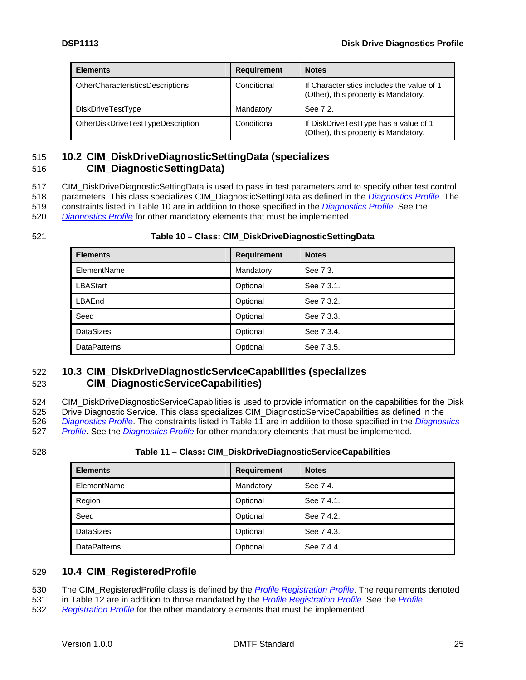<span id="page-24-0"></span>

| <b>Elements</b>                         | <b>Requirement</b> | <b>Notes</b>                                                                       |
|-----------------------------------------|--------------------|------------------------------------------------------------------------------------|
| <b>OtherCharacteristicsDescriptions</b> | Conditional        | If Characteristics includes the value of 1<br>(Other), this property is Mandatory. |
| <b>DiskDriveTestType</b>                | Mandatory          | See 7.2.                                                                           |
| OtherDiskDriveTestTypeDescription       | Conditional        | If DiskDriveTestType has a value of 1<br>(Other), this property is Mandatory.      |

#### <span id="page-24-1"></span>**10.2 CIM\_DiskDriveDiagnosticSettingData (specializes CIM\_DiagnosticSettingData)**  515 516

517 CIM\_DiskDriveDiagnosticSettingData is used to pass in test parameters and to specify other test control parameters. This class specializes CIM\_DiagnosticSettingData as defined in the *[Diagnostics Profile](#page-6-0)*. The 519 Constraints listed in [Table 10](#page-24-4) are in addition to those specified in the *[Diagnostics Profile](#page-6-0)*. See the 518

520 *[Diagnostics Profile](#page-6-0)* for other mandatory elements that must be implemented.

<span id="page-24-4"></span>

### 521 **Table 10 – Class: CIM\_DiskDriveDiagnosticSettingData**

| <b>Elements</b>     | <b>Requirement</b> | <b>Notes</b> |
|---------------------|--------------------|--------------|
| ElementName         | Mandatory          | See 7.3.     |
| <b>LBAStart</b>     | Optional           | See 7.3.1.   |
| LBAEnd              | Optional           | See 7.3.2.   |
| Seed                | Optional           | See 7.3.3.   |
| <b>DataSizes</b>    | Optional           | See 7.3.4.   |
| <b>DataPatterns</b> | Optional           | See 7.3.5.   |

#### <span id="page-24-2"></span>**10.3 CIM\_DiskDriveDiagnosticServiceCapabilities (specializes CIM\_DiagnosticServiceCapabilities)**  522 523

524 525 CIM\_DiskDriveDiagnosticServiceCapabilities is used to provide information on the capabilities for the Disk Drive Diagnostic Service. This class specializes CIM\_DiagnosticServiceCapabilities as defined in the 526 *[Diagnostics Profile](#page-6-0)*. The constraints listed in [Table 11](#page-24-5) are in addition to those specified in the *[Diagnostics](#page-6-0)*  527 *[Profile](#page-6-0)*. See the *[Diagnostics Profile](#page-6-0)* for other mandatory elements that must be implemented.

<span id="page-24-5"></span>528 **Table 11 – Class: CIM\_DiskDriveDiagnosticServiceCapabilities** 

| <b>Elements</b>     | <b>Requirement</b> | <b>Notes</b> |
|---------------------|--------------------|--------------|
| ElementName         | Mandatory          | See 7.4.     |
| Region              | Optional           | See 7.4.1.   |
| Seed                | Optional           | See 7.4.2.   |
| <b>DataSizes</b>    | Optional           | See 7.4.3.   |
| <b>DataPatterns</b> | Optional           | See 7.4.4.   |

### <span id="page-24-3"></span>529 **10.4 CIM\_RegisteredProfile**

The CIM\_RegisteredProfile class is defined by the *[Profile Registration Profile](#page-6-0)*. The requirements denoted 530

531 in [Table 12](#page-25-4) are in addition to those mandated by the *[Profile Registration Profile](#page-6-0)*. See the *Profile* 

532 *[Registration Profile](#page-6-0)* for the other mandatory elements that must be implemented.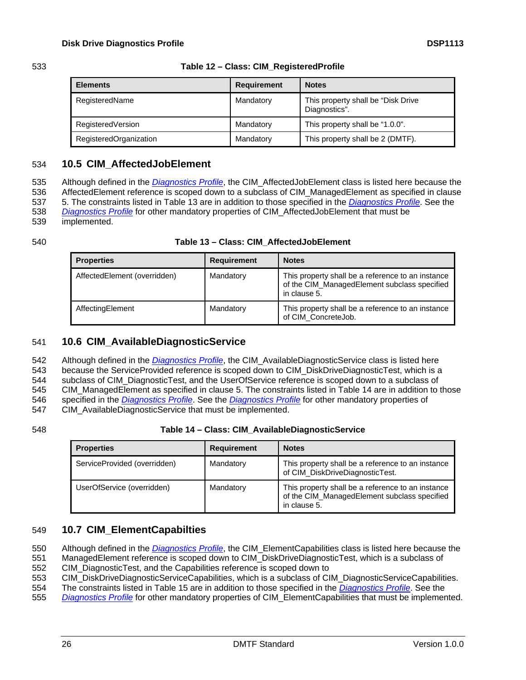### <span id="page-25-4"></span><span id="page-25-0"></span>533 **Table 12 – Class: CIM\_RegisteredProfile**

| <b>Elements</b>        | <b>Requirement</b> | <b>Notes</b>                                        |
|------------------------|--------------------|-----------------------------------------------------|
| RegisteredName         | Mandatory          | This property shall be "Disk Drive<br>Diagnostics". |
| RegisteredVersion      | Mandatory          | This property shall be "1.0.0".                     |
| RegisteredOrganization | Mandatory          | This property shall be 2 (DMTF).                    |

### <span id="page-25-1"></span>534 **10.5 CIM\_AffectedJobElement**

Although defined in the *[Diagnostics Profile](#page-6-0)*, the CIM\_AffectedJobElement class is listed here because the AffectedElement reference is scoped down to a subclass of CIM\_ManagedElement as specified in clause 535 536 537 [5.](#page-9-2) The constraints listed in [Table 13](#page-25-5) are in addition to those specified in the *[Diagnostics Profile](#page-6-0)*. See the *[Diagnostics Profile](#page-6-0)* for other mandatory properties of CIM\_AffectedJobElement that must be 538

implemented. 539

### <span id="page-25-5"></span>540 **Table 13 – Class: CIM\_AffectedJobElement**

| <b>Properties</b>            | <b>Requirement</b> | <b>Notes</b>                                                                                                      |
|------------------------------|--------------------|-------------------------------------------------------------------------------------------------------------------|
| AffectedElement (overridden) | Mandatory          | This property shall be a reference to an instance<br>of the CIM_ManagedElement subclass specified<br>in clause 5. |
| AffectingElement             | Mandatory          | This property shall be a reference to an instance<br>of CIM ConcreteJob.                                          |

### <span id="page-25-2"></span>541 **10.6 CIM\_AvailableDiagnosticService**

Although defined in the *[Diagnostics Profile](#page-6-0)*, the CIM\_AvailableDiagnosticService class is listed here 542

because the ServiceProvided reference is scoped down to CIM\_DiskDriveDiagnosticTest, which is a 543

subclass of CIM\_DiagnosticTest, and the UserOfService reference is scoped down to a subclass of 544

[5](#page-9-2)45 CIM\_ManagedElement as specified in clause 5. The constraints listed in [Table 14](#page-25-6) are in addition to those

specified in the *[Diagnostics Profile](#page-6-0)*. See the *[Diagnostics Profile](#page-6-0)* for other mandatory properties of 546 547

CIM\_AvailableDiagnosticService that must be implemented.

### <span id="page-25-6"></span>548 **Table 14 – Class: CIM\_AvailableDiagnosticService**

| <b>Properties</b>            | <b>Requirement</b> | <b>Notes</b>                                                                                                      |
|------------------------------|--------------------|-------------------------------------------------------------------------------------------------------------------|
| ServiceProvided (overridden) | Mandatory          | This property shall be a reference to an instance<br>of CIM_DiskDriveDiagnosticTest.                              |
| UserOfService (overridden)   | Mandatory          | This property shall be a reference to an instance<br>of the CIM_ManagedElement subclass specified<br>in clause 5. |

### <span id="page-25-3"></span>549 **10.7 CIM\_ElementCapabilties**

Although defined in the *[Diagnostics Profile](#page-6-0)*, the CIM\_ElementCapabilities class is listed here because the 550

ManagedElement reference is scoped down to CIM\_DiskDriveDiagnosticTest, which is a subclass of 551

CIM\_DiagnosticTest, and the Capabilities reference is scoped down to 552

CIM\_DiskDriveDiagnosticServiceCapabilities, which is a subclass of CIM\_DiagnosticServiceCapabilities. 553

554 The constraints listed in [Table 15](#page-26-3) are in addition to those specified in the *[Diagnostics Profile](#page-6-0)*. See the

555 *[Diagnostics Profile](#page-6-0)* for other mandatory properties of CIM\_ElementCapabilities that must be implemented.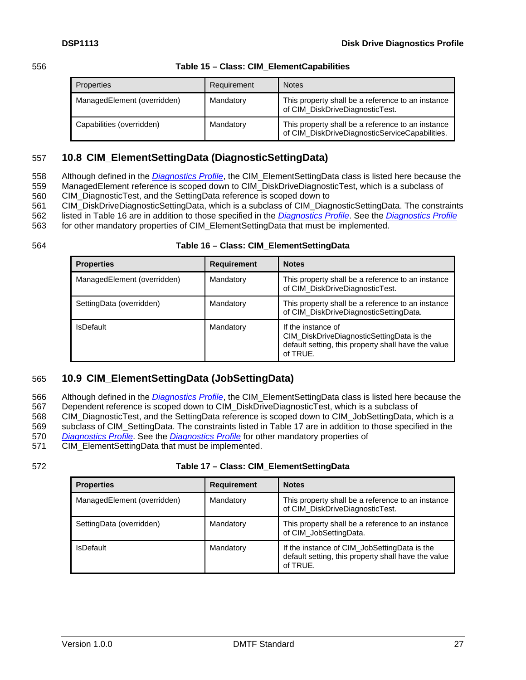<span id="page-26-3"></span><span id="page-26-0"></span>

| 556 | Table 15 – Class: CIM ElementCapabilities |
|-----|-------------------------------------------|
|-----|-------------------------------------------|

| Properties                  | Requirement | <b>Notes</b>                                                                                        |
|-----------------------------|-------------|-----------------------------------------------------------------------------------------------------|
| ManagedElement (overridden) | Mandatory   | This property shall be a reference to an instance<br>of CIM_DiskDriveDiagnosticTest.                |
| Capabilities (overridden)   | Mandatory   | This property shall be a reference to an instance<br>of CIM_DiskDriveDiagnosticServiceCapabilities. |

### <span id="page-26-1"></span>557 **10.8 CIM\_ElementSettingData (DiagnosticSettingData)**

Although defined in the *[Diagnostics Profile](#page-6-0)*, the CIM\_ElementSettingData class is listed here because the ManagedElement reference is scoped down to CIM\_DiskDriveDiagnosticTest, which is a subclass of 558 559

CIM\_DiagnosticTest, and the SettingData reference is scoped down to 560

CIM\_DiskDriveDiagnosticSettingData, which is a subclass of CIM\_DiagnosticSettingData. The constraints 561

listed in [Table 16](#page-26-4) are in addition to those specified in the *[Diagnostics Profile](#page-6-0)*. See the *[Diagnostics Profile](#page-6-0)* 562

for other mandatory properties of CIM\_ElementSettingData that must be implemented. 563

<span id="page-26-4"></span>

| <b>Properties</b>           | <b>Requirement</b> | <b>Notes</b>                                                                                                                       |
|-----------------------------|--------------------|------------------------------------------------------------------------------------------------------------------------------------|
| ManagedElement (overridden) | Mandatory          | This property shall be a reference to an instance<br>of CIM_DiskDriveDiagnosticTest.                                               |
| SettingData (overridden)    | Mandatory          | This property shall be a reference to an instance<br>of CIM_DiskDriveDiagnosticSettingData.                                        |
| <b>IsDefault</b>            | Mandatory          | If the instance of<br>CIM_DiskDriveDiagnosticSettingData is the<br>default setting, this property shall have the value<br>of TRUE. |

### <span id="page-26-2"></span>565 **10.9 CIM\_ElementSettingData (JobSettingData)**

Although defined in the *[Diagnostics Profile](#page-6-0)*, the CIM\_ElementSettingData class is listed here because the 566

Dependent reference is scoped down to CIM\_DiskDriveDiagnosticTest, which is a subclass of 567

CIM\_DiagnosticTest, and the SettingData reference is scoped down to CIM\_JobSettingData, which is a 569 subclass of CIM\_SettingData. The constraints listed in [Table 17](#page-26-5) are in addition to those specified in the 568

*[Diagnostics Profile](#page-6-0)*. See the *[Diagnostics Profile](#page-6-0)* for other mandatory properties of 570

CIM\_ElementSettingData that must be implemented. 571

<span id="page-26-5"></span>

| 572 | Table 17 - Class: CIM_ElementSettingData |  |
|-----|------------------------------------------|--|
|-----|------------------------------------------|--|

| <b>Properties</b>           | <b>Requirement</b> | <b>Notes</b>                                                                                                    |
|-----------------------------|--------------------|-----------------------------------------------------------------------------------------------------------------|
| ManagedElement (overridden) | Mandatory          | This property shall be a reference to an instance<br>of CIM_DiskDriveDiagnosticTest.                            |
| SettingData (overridden)    | Mandatory          | This property shall be a reference to an instance<br>of CIM_JobSettingData.                                     |
| <b>IsDefault</b>            | Mandatory          | If the instance of CIM_JobSettingData is the<br>default setting, this property shall have the value<br>of TRUE. |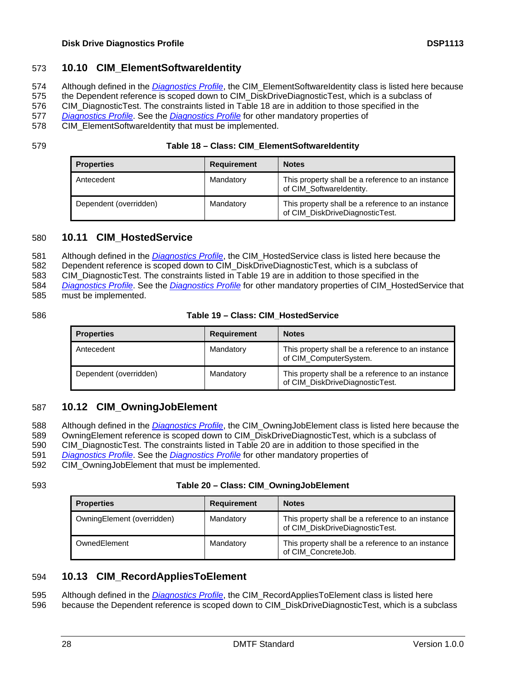### <span id="page-27-1"></span><span id="page-27-0"></span>573 **10.10 CIM\_ElementSoftwareIdentity**

Although defined in the *[Diagnostics Profile](#page-6-0)*, the CIM\_ElementSoftwareIdentity class is listed here because 574

the Dependent reference is scoped down to CIM\_DiskDriveDiagnosticTest, which is a subclass of 575

576 CIM\_DiagnosticTest. The constraints listed in [Table 18](#page-27-5) are in addition to those specified in the

*[Diagnostics Profile](#page-6-0)*. See the *[Diagnostics Profile](#page-6-0)* for other mandatory properties of 577

CIM\_ElementSoftwareIdentity that must be implemented. 578

<span id="page-27-5"></span>

579 **Table 18 – Class: CIM\_ElementSoftwareIdentity** 

| <b>Properties</b>      | <b>Requirement</b> | <b>Notes</b>                                                                         |
|------------------------|--------------------|--------------------------------------------------------------------------------------|
| Antecedent             | Mandatory          | This property shall be a reference to an instance<br>of CIM_SoftwareIdentity.        |
| Dependent (overridden) | Mandatory          | This property shall be a reference to an instance<br>of CIM_DiskDriveDiagnosticTest. |

### <span id="page-27-2"></span>580 **10.11 CIM\_HostedService**

Although defined in the *[Diagnostics Profile](#page-6-0)*, the CIM\_HostedService class is listed here because the 581

Dependent reference is scoped down to CIM\_DiskDriveDiagnosticTest, which is a subclass of 582

583 CIM\_DiagnosticTest. The constraints listed in [Table 19](#page-27-6) are in addition to those specified in the

*[Diagnostics Profile](#page-6-0)*. See the *[Diagnostics Profile](#page-6-0)* for other mandatory properties of CIM\_HostedService that must be implemented. 584 585

### <span id="page-27-6"></span>586 **Table 19 – Class: CIM\_HostedService**

| <b>Properties</b>      | <b>Requirement</b> | <b>Notes</b>                                                                         |
|------------------------|--------------------|--------------------------------------------------------------------------------------|
| Antecedent             | Mandatory          | This property shall be a reference to an instance<br>of CIM_ComputerSystem.          |
| Dependent (overridden) | Mandatory          | This property shall be a reference to an instance<br>of CIM_DiskDriveDiagnosticTest. |

### <span id="page-27-3"></span>587 **10.12 CIM\_OwningJobElement**

Although defined in the *[Diagnostics Profile](#page-6-0)*, the CIM\_OwningJobElement class is listed here because the 588

OwningElement reference is scoped down to CIM\_DiskDriveDiagnosticTest, which is a subclass of 589

590 CIM\_DiagnosticTest. The constraints listed in [Table 20](#page-27-7) are in addition to those specified in the

*[Diagnostics Profile](#page-6-0)*. See the *[Diagnostics Profile](#page-6-0)* for other mandatory properties of 591

CIM\_OwningJobElement that must be implemented. 592

### <span id="page-27-7"></span>593 **Table 20 – Class: CIM\_OwningJobElement**

| <b>Properties</b>          | <b>Requirement</b> | <b>Notes</b>                                                                         |
|----------------------------|--------------------|--------------------------------------------------------------------------------------|
| OwningElement (overridden) | Mandatory          | This property shall be a reference to an instance<br>of CIM_DiskDriveDiagnosticTest. |
| OwnedElement               | Mandatory          | This property shall be a reference to an instance<br>of CIM_ConcreteJob.             |

### <span id="page-27-4"></span>594 **10.13 CIM\_RecordAppliesToElement**

Although defined in the *[Diagnostics Profile](#page-6-0)*, the CIM\_RecordAppliesToElement class is listed here because the Dependent reference is scoped down to CIM\_DiskDriveDiagnosticTest, which is a subclass 595 596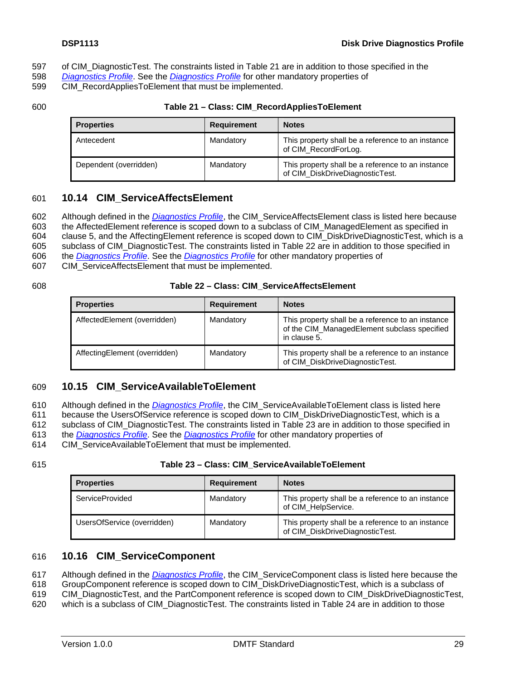- <span id="page-28-0"></span>597 of CIM\_DiagnosticTest. The constraints listed in [Table 21](#page-28-4) are in addition to those specified in the
- *[Diagnostics Profile](#page-6-0)*. See the *[Diagnostics Profile](#page-6-0)* for other mandatory properties of 598
- CIM\_RecordAppliesToElement that must be implemented. 599

### <span id="page-28-4"></span>600 **Table 21 – Class: CIM\_RecordAppliesToElement**

| <b>Properties</b>      | Requirement | <b>Notes</b>                                                                         |
|------------------------|-------------|--------------------------------------------------------------------------------------|
| Antecedent             | Mandatory   | This property shall be a reference to an instance<br>of CIM_RecordForLog.            |
| Dependent (overridden) | Mandatory   | This property shall be a reference to an instance<br>of CIM_DiskDriveDiagnosticTest. |

### <span id="page-28-1"></span>601 **10.14 CIM\_ServiceAffectsElement**

Although defined in the *[Diagnostics Profile](#page-6-0)*, the CIM\_ServiceAffectsElement class is listed here because 602

the AffectedElement reference is scoped down to a subclass of CIM\_ManagedElement as specified in 603

clause [5](#page-9-2), and the AffectingElement reference is scoped down to CIM\_DiskDriveDiagnosticTest, which is a 604

605 subclass of CIM\_DiagnosticTest. The constraints listed in [Table 22](#page-28-5) are in addition to those specified in

the *[Diagnostics Profile](#page-6-0)*. See the *[Diagnostics Profile](#page-6-0)* for other mandatory properties of 606

CIM\_ServiceAffectsElement that must be implemented. 607

### <span id="page-28-5"></span>608 **Table 22 – Class: CIM\_ServiceAffectsElement**

| <b>Properties</b>             | <b>Requirement</b> | <b>Notes</b>                                                                                                      |
|-------------------------------|--------------------|-------------------------------------------------------------------------------------------------------------------|
| AffectedElement (overridden)  | Mandatory          | This property shall be a reference to an instance<br>of the CIM_ManagedElement subclass specified<br>in clause 5. |
| AffectingElement (overridden) | Mandatory          | This property shall be a reference to an instance<br>of CIM_DiskDriveDiagnosticTest.                              |

### <span id="page-28-2"></span>609 **10.15 CIM\_ServiceAvailableToElement**

Although defined in the *[Diagnostics Profile](#page-6-0)*, the CIM\_ServiceAvailableToElement class is listed here 610

because the UsersOfService reference is scoped down to CIM\_DiskDriveDiagnosticTest, which is a 611

612 subclass of CIM\_DiagnosticTest. The constraints listed in [Table 23](#page-28-6) are in addition to those specified in

the *[Diagnostics Profile](#page-6-0)*. See the *[Diagnostics Profile](#page-6-0)* for other mandatory properties of 613

CIM\_ServiceAvailableToElement that must be implemented. 614

<span id="page-28-6"></span>

| 615 | Table 23 – Class: CIM ServiceAvailableToElement |
|-----|-------------------------------------------------|
|     |                                                 |

| <b>Properties</b>           | <b>Requirement</b> | <b>Notes</b>                                                                         |
|-----------------------------|--------------------|--------------------------------------------------------------------------------------|
| <b>ServiceProvided</b>      | Mandatory          | This property shall be a reference to an instance<br>of CIM_HelpService.             |
| UsersOfService (overridden) | Mandatory          | This property shall be a reference to an instance<br>of CIM_DiskDriveDiagnosticTest. |

### <span id="page-28-3"></span>616 **10.16 CIM\_ServiceComponent**

Although defined in the *[Diagnostics Profile](#page-6-0)*, the CIM\_ServiceComponent class is listed here because the 617

GroupComponent reference is scoped down to CIM\_DiskDriveDiagnosticTest, which is a subclass of 618

CIM\_DiagnosticTest, and the PartComponent reference is scoped down to CIM\_DiskDriveDiagnosticTest, 619

620 which is a subclass of CIM\_DiagnosticTest. The constraints listed in [Table 24](#page-29-2) are in addition to those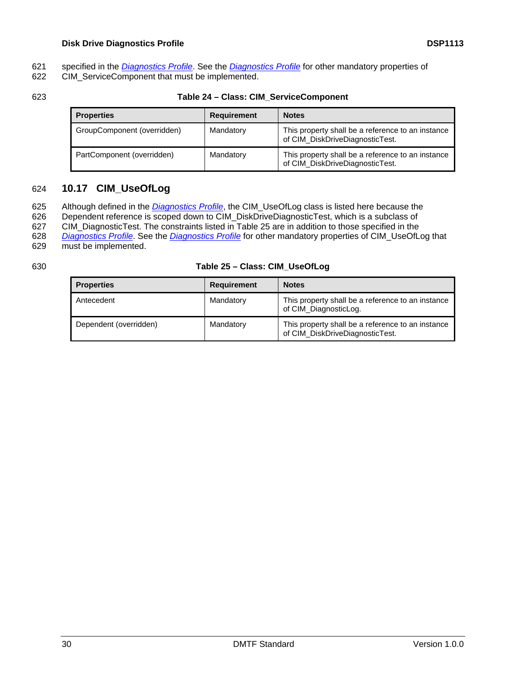- <span id="page-29-0"></span>specified in the *[Diagnostics Profile](#page-6-0)*. See the *[Diagnostics Profile](#page-6-0)* for other mandatory properties of 621
- CIM\_ServiceComponent that must be implemented. 622

### <span id="page-29-2"></span>623 **Table 24 – Class: CIM\_ServiceComponent**

| <b>Properties</b>           | Requirement | <b>Notes</b>                                                                         |
|-----------------------------|-------------|--------------------------------------------------------------------------------------|
| GroupComponent (overridden) | Mandatory   | This property shall be a reference to an instance<br>of CIM_DiskDriveDiagnosticTest. |
| PartComponent (overridden)  | Mandatory   | This property shall be a reference to an instance<br>of CIM_DiskDriveDiagnosticTest. |

### <span id="page-29-1"></span>624 **10.17 CIM\_UseOfLog**

Although defined in the *[Diagnostics Profile](#page-6-0)*, the CIM\_UseOfLog class is listed here because the 625

Dependent reference is scoped down to CIM\_DiskDriveDiagnosticTest, which is a subclass of 626

627 CIM\_DiagnosticTest. The constraints listed in [Table 25](#page-29-3) are in addition to those specified in the

*[Diagnostics Profile](#page-6-0)*. See the *[Diagnostics Profile](#page-6-0)* for other mandatory properties of CIM\_UseOfLog that 628

must be implemented. 629

### <span id="page-29-3"></span>630 **Table 25 – Class: CIM\_UseOfLog**

| <b>Properties</b>      | <b>Requirement</b> | <b>Notes</b>                                                                         |
|------------------------|--------------------|--------------------------------------------------------------------------------------|
| Antecedent             | Mandatory          | This property shall be a reference to an instance<br>of CIM_DiagnosticLog.           |
| Dependent (overridden) | Mandatory          | This property shall be a reference to an instance<br>of CIM_DiskDriveDiagnosticTest. |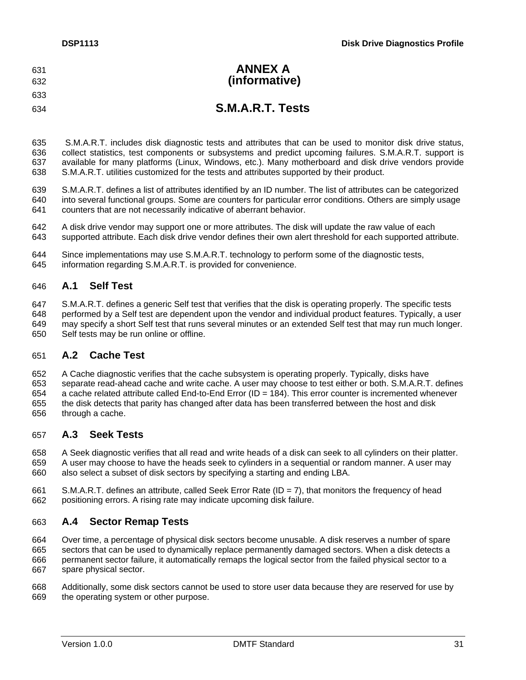<span id="page-30-0"></span>

| 631<br>632 | <b>ANNEX A</b><br>(informative) |
|------------|---------------------------------|
| 633        |                                 |
| 634        | S.M.A.R.T. Tests                |

635 636 637 638 S.M.A.R.T. includes disk diagnostic tests and attributes that can be used to monitor disk drive status, collect statistics, test components or subsystems and predict upcoming failures. S.M.A.R.T. support is available for many platforms (Linux, Windows, etc.). Many motherboard and disk drive vendors provide S.M.A.R.T. utilities customized for the tests and attributes supported by their product.

639 640 641 S.M.A.R.T. defines a list of attributes identified by an ID number. The list of attributes can be categorized into several functional groups. Some are counters for particular error conditions. Others are simply usage counters that are not necessarily indicative of aberrant behavior.

642 643 A disk drive vendor may support one or more attributes. The disk will update the raw value of each supported attribute. Each disk drive vendor defines their own alert threshold for each supported attribute.

- 644 Since implementations may use S.M.A.R.T. technology to perform some of the diagnostic tests,
- 645 information regarding S.M.A.R.T. is provided for convenience.

#### 646 **A.1 Self Test**

647 648 649 S.M.A.R.T. defines a generic Self test that verifies that the disk is operating properly. The specific tests performed by a Self test are dependent upon the vendor and individual product features. Typically, a user may specify a short Self test that runs several minutes or an extended Self test that may run much longer.

650 Self tests may be run online or offline.

#### 651 **A.2 Cache Test**

- 652 A Cache diagnostic verifies that the cache subsystem is operating properly. Typically, disks have
- 653 separate read-ahead cache and write cache. A user may choose to test either or both. S.M.A.R.T. defines
- 654 a cache related attribute called End-to-End Error  $(ID = 184)$ . This error counter is incremented whenever
- 655 656 the disk detects that parity has changed after data has been transferred between the host and disk through a cache.
- 

#### 657 **A.3 Seek Tests**

658 659 660 A Seek diagnostic verifies that all read and write heads of a disk can seek to all cylinders on their platter. A user may choose to have the heads seek to cylinders in a sequential or random manner. A user may also select a subset of disk sectors by specifying a starting and ending LBA.

661 662 S.M.A.R.T. defines an attribute, called Seek Error Rate (ID = 7), that monitors the frequency of head positioning errors. A rising rate may indicate upcoming disk failure.

#### 663 **A.4 Sector Remap Tests**

664 665 666 667 Over time, a percentage of physical disk sectors become unusable. A disk reserves a number of spare sectors that can be used to dynamically replace permanently damaged sectors. When a disk detects a permanent sector failure, it automatically remaps the logical sector from the failed physical sector to a spare physical sector.

668 669 Additionally, some disk sectors cannot be used to store user data because they are reserved for use by the operating system or other purpose.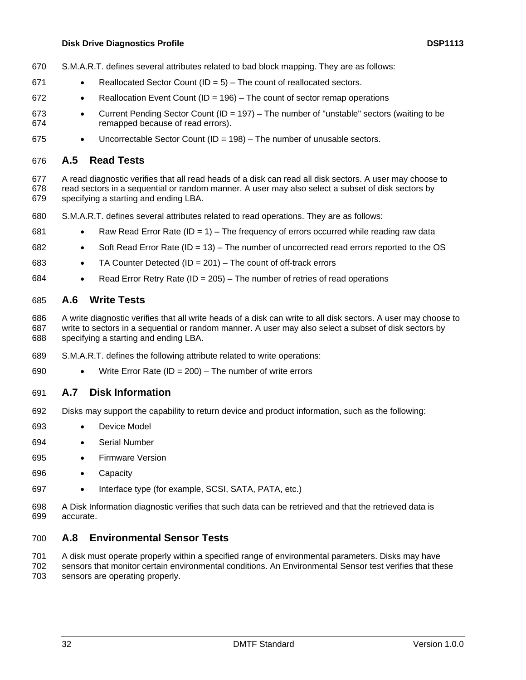- 670 S.M.A.R.T. defines several attributes related to bad block mapping. They are as follows:
- 671 • Reallocated Sector Count (ID =  $5$ ) – The count of reallocated sectors.
- 672 • Reallocation Event Count (ID = 196) – The count of sector remap operations
- 673 674 • Current Pending Sector Count (ID = 197) – The number of "unstable" sectors (waiting to be remapped because of read errors).
- 675 • Uncorrectable Sector Count ( $ID = 198$ ) – The number of unusable sectors.

#### 676 **A.5 Read Tests**

- 677 678 679 A read diagnostic verifies that all read heads of a disk can read all disk sectors. A user may choose to read sectors in a sequential or random manner. A user may also select a subset of disk sectors by specifying a starting and ending LBA.
- 680 S.M.A.R.T. defines several attributes related to read operations. They are as follows:
- 681 • Raw Read Error Rate (ID = 1) – The frequency of errors occurred while reading raw data
- 682 • Soft Read Error Rate ( $ID = 13$ ) – The number of uncorrected read errors reported to the OS
- 683 • TA Counter Detected (ID = 201) – The count of off-track errors
- 684 • Read Error Retry Rate (ID = 205) – The number of retries of read operations

#### 685 **A.6 Write Tests**

- 686 687 688 A write diagnostic verifies that all write heads of a disk can write to all disk sectors. A user may choose to write to sectors in a sequential or random manner. A user may also select a subset of disk sectors by specifying a starting and ending LBA.
- 689 S.M.A.R.T. defines the following attribute related to write operations:
- 690 • Write Error Rate (ID = 200) – The number of write errors

#### 691 **A.7 Disk Information**

- 692 Disks may support the capability to return device and product information, such as the following:
- 693 • Device Model
- 694 • Serial Number
- 695 • Firmware Version
- 696 • Capacity
- 697 • Interface type (for example, SCSI, SATA, PATA, etc.)
- 698 699 A Disk Information diagnostic verifies that such data can be retrieved and that the retrieved data is accurate.

#### 700 **A.8 Environmental Sensor Tests**

701 702 703 A disk must operate properly within a specified range of environmental parameters. Disks may have sensors that monitor certain environmental conditions. An Environmental Sensor test verifies that these sensors are operating properly.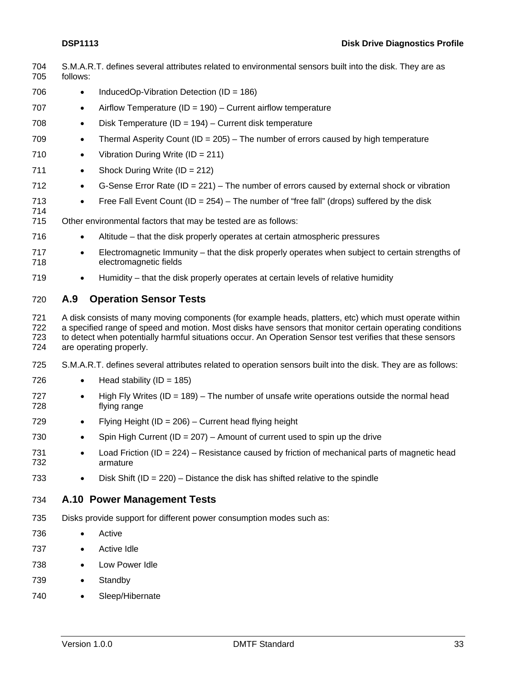714

S.M.A.R.T. defines several attributes related to environmental sensors built into the disk. They are as follows: 704 705

- 706 • InducedOp-Vibration Detection (ID = 186)
- 707 • Airflow Temperature (ID = 190) – Current airflow temperature
- 708 • Disk Temperature (ID = 194) – Current disk temperature
- 709 • Thermal Asperity Count (ID = 205) – The number of errors caused by high temperature
- 710 • Vibration During Write  $(ID = 211)$
- 711 • Shock During Write  $(ID = 212)$
- 712 • G-Sense Error Rate (ID = 221) – The number of errors caused by external shock or vibration
- 713 • Free Fall Event Count (ID = 254) – The number of "free fall" (drops) suffered by the disk
- 715 Other environmental factors that may be tested are as follows:
- 716 • Altitude – that the disk properly operates at certain atmospheric pressures
- 717 718 • Electromagnetic Immunity – that the disk properly operates when subject to certain strengths of electromagnetic fields
- 719 • Humidity – that the disk properly operates at certain levels of relative humidity

#### 720 **A.9 Operation Sensor Tests**

721 722 723 724 A disk consists of many moving components (for example heads, platters, etc) which must operate within a specified range of speed and motion. Most disks have sensors that monitor certain operating conditions to detect when potentially harmful situations occur. An Operation Sensor test verifies that these sensors are operating properly.

- 725 S.M.A.R.T. defines several attributes related to operation sensors built into the disk. They are as follows:
- 726 • Head stability  $(ID = 185)$
- 727 728 • High Fly Writes (ID = 189) – The number of unsafe write operations outside the normal head flying range
- 729 • Flying Height  $(ID = 206) - Current head$  flying height
- 730 • Spin High Current (ID = 207) – Amount of current used to spin up the drive
- 731 732 • Load Friction (ID = 224) – Resistance caused by friction of mechanical parts of magnetic head armature
- 733 • Disk Shift (ID = 220) – Distance the disk has shifted relative to the spindle
- 734 **A.10 Power Management Tests**
- 735 Disks provide support for different power consumption modes such as:
- 736 • Active
- 737 • Active Idle
- 738 • Low Power Idle
- 739 • Standby
- 740 • Sleep/Hibernate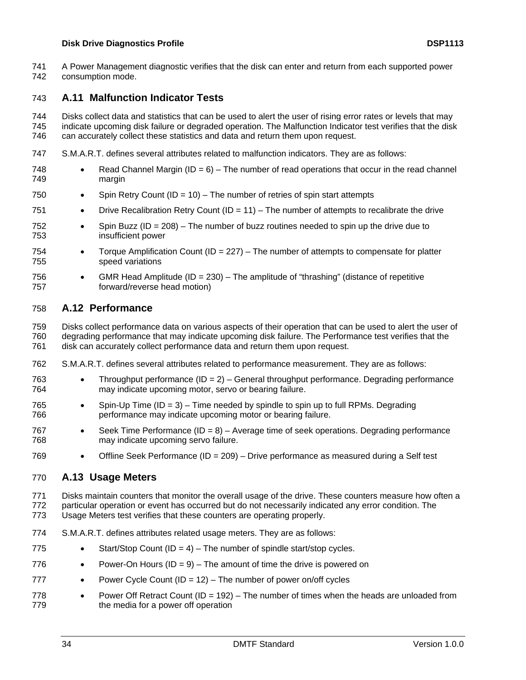### **Disk Drive Diagnostics Profile Disk of Contract Contract DSP1113**

A Power Management diagnostic verifies that the disk can enter and return from each supported power consumption mode. 741 742

#### 743 **A.11 Malfunction Indicator Tests**

744 745 746 Disks collect data and statistics that can be used to alert the user of rising error rates or levels that may indicate upcoming disk failure or degraded operation. The Malfunction Indicator test verifies that the disk can accurately collect these statistics and data and return them upon request.

- 747 S.M.A.R.T. defines several attributes related to malfunction indicators. They are as follows:
- 748 749 • Read Channel Margin (ID =  $6$ ) – The number of read operations that occur in the read channel margin
- 750 • Spin Retry Count (ID = 10) – The number of retries of spin start attempts
- 751 • Drive Recalibration Retry Count (ID = 11) – The number of attempts to recalibrate the drive
- 752 753 • Spin Buzz (ID =  $208$ ) – The number of buzz routines needed to spin up the drive due to insufficient power
- 754 755 Torque Amplification Count (ID = 227) – The number of attempts to compensate for platter speed variations
- 756 757 • GMR Head Amplitude (ID = 230) – The amplitude of "thrashing" (distance of repetitive forward/reverse head motion)

#### 758 **A.12 Performance**

759 760 761 Disks collect performance data on various aspects of their operation that can be used to alert the user of degrading performance that may indicate upcoming disk failure. The Performance test verifies that the disk can accurately collect performance data and return them upon request.

- 762 S.M.A.R.T. defines several attributes related to performance measurement. They are as follows:
- 763 764 • Throughput performance  $(ID = 2)$  – General throughput performance. Degrading performance may indicate upcoming motor, servo or bearing failure.
- 765 766 • Spin-Up Time  $(1D = 3)$  – Time needed by spindle to spin up to full RPMs. Degrading performance may indicate upcoming motor or bearing failure.
- 767 768 Seek Time Performance (ID =  $8$ ) – Average time of seek operations. Degrading performance may indicate upcoming servo failure.
- 769 • Offline Seek Performance (ID = 209) – Drive performance as measured during a Self test

#### 770 **A.13 Usage Meters**

771 772 773 Disks maintain counters that monitor the overall usage of the drive. These counters measure how often a particular operation or event has occurred but do not necessarily indicated any error condition. The Usage Meters test verifies that these counters are operating properly.

- 774 S.M.A.R.T. defines attributes related usage meters. They are as follows:
- 775 • Start/Stop Count (ID = 4) – The number of spindle start/stop cycles.
- 776 • Power-On Hours (ID = 9) – The amount of time the drive is powered on
- 777 • Power Cycle Count  $(ID = 12) - The number of power on/off cycles$
- 778 779 • Power Off Retract Count (ID = 192) – The number of times when the heads are unloaded from the media for a power off operation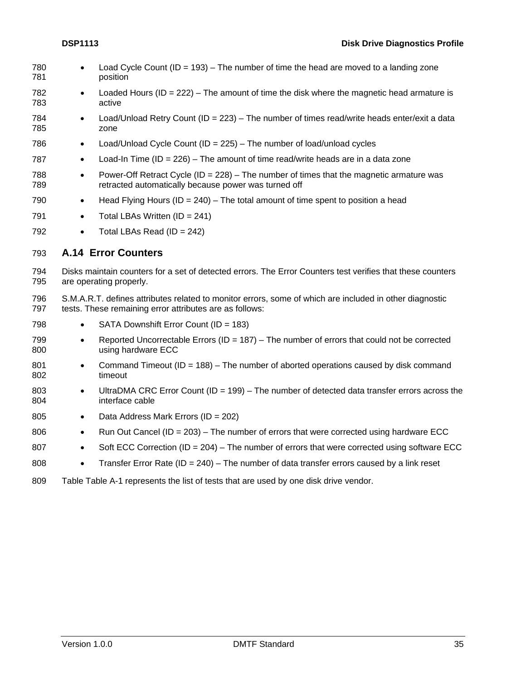- Load Cycle Count (ID = 193) The number of time the head are moved to a landing zone position 780 781 782 783 784 785 • Loaded Hours (ID = 222) – The amount of time the disk where the magnetic head armature is active • Load/Unload Retry Count (ID = 223) – The number of times read/write heads enter/exit a data zone
- 786 • Load/Unload Cycle Count (ID = 225) – The number of load/unload cycles
- 787 • Load-In Time (ID = 226) – The amount of time read/write heads are in a data zone
- 788 789 • Power-Off Retract Cycle (ID = 228) – The number of times that the magnetic armature was retracted automatically because power was turned off
- 790 • Head Flying Hours (ID = 240) – The total amount of time spent to position a head
- 791 • Total LBAs Written  $(ID = 241)$
- 792 • Total LBAs Read ( $ID = 242$ )

#### 793 **A.14 Error Counters**

794 795 Disks maintain counters for a set of detected errors. The Error Counters test verifies that these counters are operating properly.

- 796 797 S.M.A.R.T. defines attributes related to monitor errors, some of which are included in other diagnostic tests. These remaining error attributes are as follows:
- 798 • SATA Downshift Error Count (ID = 183)
- 799 800 • Reported Uncorrectable Errors (ID =  $187$ ) – The number of errors that could not be corrected using hardware ECC
- 801 802 • Command Timeout (ID = 188) – The number of aborted operations caused by disk command timeout
- 803 804 • UltraDMA CRC Error Count (ID = 199) – The number of detected data transfer errors across the interface cable
- 805 • Data Address Mark Errors (ID = 202)
- 806 • Run Out Cancel (ID = 203) – The number of errors that were corrected using hardware ECC
- 807 • Soft ECC Correction (ID = 204) – The number of errors that were corrected using software ECC
- 808 Transfer Error Rate (ID = 240) – The number of data transfer errors caused by a link reset
- 809 Table [Table A-1](#page-35-1) represents the list of tests that are used by one disk drive vendor.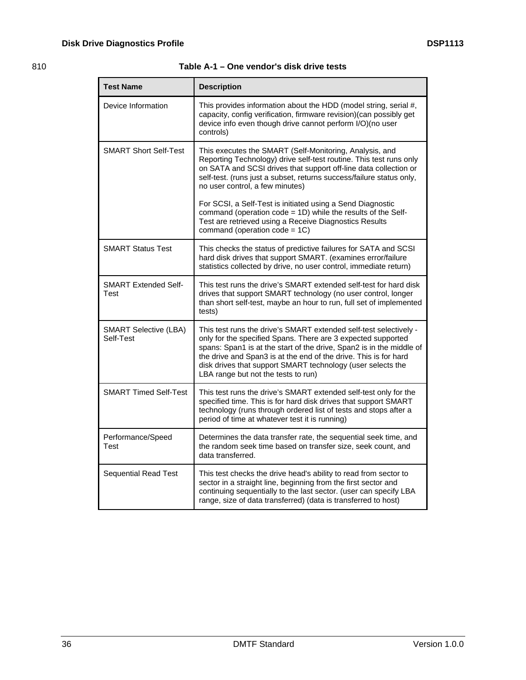### <span id="page-35-1"></span><span id="page-35-0"></span>810 **Table A-1 – One vendor's disk drive tests**

| <b>Test Name</b>                          | <b>Description</b>                                                                                                                                                                                                                                                                                                                                                                  |
|-------------------------------------------|-------------------------------------------------------------------------------------------------------------------------------------------------------------------------------------------------------------------------------------------------------------------------------------------------------------------------------------------------------------------------------------|
| Device Information                        | This provides information about the HDD (model string, serial #,<br>capacity, config verification, firmware revision)(can possibly get<br>device info even though drive cannot perform I/O)(no user<br>controls)                                                                                                                                                                    |
| <b>SMART Short Self-Test</b>              | This executes the SMART (Self-Monitoring, Analysis, and<br>Reporting Technology) drive self-test routine. This test runs only<br>on SATA and SCSI drives that support off-line data collection or<br>self-test. (runs just a subset, returns success/failure status only,<br>no user control, a few minutes)                                                                        |
|                                           | For SCSI, a Self-Test is initiated using a Send Diagnostic<br>command (operation code = 1D) while the results of the Self-<br>Test are retrieved using a Receive Diagnostics Results<br>command (operation $code = 1C$ )                                                                                                                                                            |
| <b>SMART Status Test</b>                  | This checks the status of predictive failures for SATA and SCSI<br>hard disk drives that support SMART. (examines error/failure<br>statistics collected by drive, no user control, immediate return)                                                                                                                                                                                |
| <b>SMART Extended Self-</b><br>Test       | This test runs the drive's SMART extended self-test for hard disk<br>drives that support SMART technology (no user control, longer<br>than short self-test, maybe an hour to run, full set of implemented<br>tests)                                                                                                                                                                 |
| <b>SMART Selective (LBA)</b><br>Self-Test | This test runs the drive's SMART extended self-test selectively -<br>only for the specified Spans. There are 3 expected supported<br>spans: Span1 is at the start of the drive, Span2 is in the middle of<br>the drive and Span3 is at the end of the drive. This is for hard<br>disk drives that support SMART technology (user selects the<br>LBA range but not the tests to run) |
| <b>SMART Timed Self-Test</b>              | This test runs the drive's SMART extended self-test only for the<br>specified time. This is for hard disk drives that support SMART<br>technology (runs through ordered list of tests and stops after a<br>period of time at whatever test it is running)                                                                                                                           |
| Performance/Speed<br>Test                 | Determines the data transfer rate, the sequential seek time, and<br>the random seek time based on transfer size, seek count, and<br>data transferred.                                                                                                                                                                                                                               |
| <b>Sequential Read Test</b>               | This test checks the drive head's ability to read from sector to<br>sector in a straight line, beginning from the first sector and<br>continuing sequentially to the last sector. (user can specify LBA<br>range, size of data transferred) (data is transferred to host)                                                                                                           |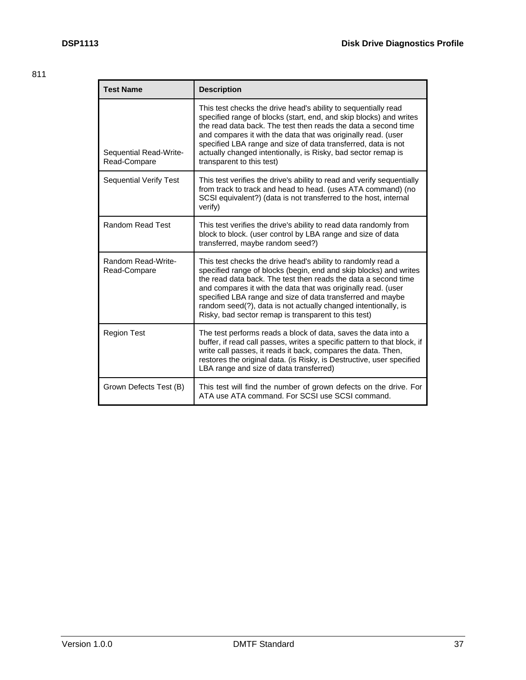| <b>Test Name</b>                       | <b>Description</b>                                                                                                                                                                                                                                                                                                                                                                                                                                           |
|----------------------------------------|--------------------------------------------------------------------------------------------------------------------------------------------------------------------------------------------------------------------------------------------------------------------------------------------------------------------------------------------------------------------------------------------------------------------------------------------------------------|
| Sequential Read-Write-<br>Read-Compare | This test checks the drive head's ability to sequentially read<br>specified range of blocks (start, end, and skip blocks) and writes<br>the read data back. The test then reads the data a second time<br>and compares it with the data that was originally read. (user<br>specified LBA range and size of data transferred, data is not<br>actually changed intentionally, is Risky, bad sector remap is<br>transparent to this test)                       |
| <b>Sequential Verify Test</b>          | This test verifies the drive's ability to read and verify sequentially<br>from track to track and head to head. (uses ATA command) (no<br>SCSI equivalent?) (data is not transferred to the host, internal<br>verify)                                                                                                                                                                                                                                        |
| Random Read Test                       | This test verifies the drive's ability to read data randomly from<br>block to block. (user control by LBA range and size of data<br>transferred, maybe random seed?)                                                                                                                                                                                                                                                                                         |
| Random Read-Write-<br>Read-Compare     | This test checks the drive head's ability to randomly read a<br>specified range of blocks (begin, end and skip blocks) and writes<br>the read data back. The test then reads the data a second time<br>and compares it with the data that was originally read. (user<br>specified LBA range and size of data transferred and maybe<br>random seed(?), data is not actually changed intentionally, is<br>Risky, bad sector remap is transparent to this test) |
| <b>Region Test</b>                     | The test performs reads a block of data, saves the data into a<br>buffer, if read call passes, writes a specific pattern to that block, if<br>write call passes, it reads it back, compares the data. Then,<br>restores the original data. (is Risky, is Destructive, user specified<br>LBA range and size of data transferred)                                                                                                                              |
| Grown Defects Test (B)                 | This test will find the number of grown defects on the drive. For<br>ATA use ATA command. For SCSI use SCSI command.                                                                                                                                                                                                                                                                                                                                         |

811